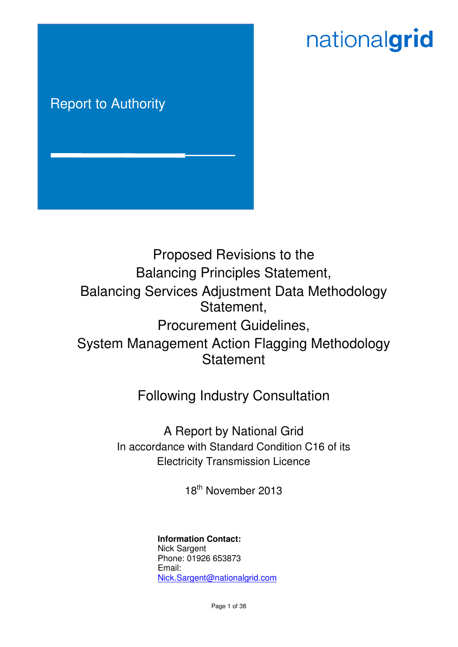# nationalgrid

# Report to Authority

Proposed Revisions to the Balancing Principles Statement, Balancing Services Adjustment Data Methodology Statement, Procurement Guidelines, System Management Action Flagging Methodology **Statement** 

## Following Industry Consultation

A Report by National Grid In accordance with Standard Condition C16 of its Electricity Transmission Licence

18<sup>th</sup> November 2013

#### **Information Contact:** Nick Sargent Phone: 01926 653873 Email: Nick.Sargent@nationalgrid.com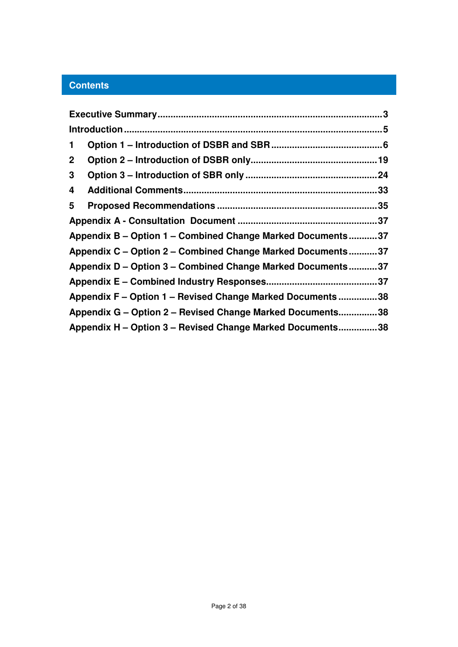## **Contents**

| $\mathbf{1}$ |                                                            |     |
|--------------|------------------------------------------------------------|-----|
| $\mathbf{2}$ |                                                            |     |
| 3            |                                                            |     |
| 4            |                                                            | .33 |
| 5            |                                                            | .35 |
|              |                                                            |     |
|              | Appendix B - Option 1 - Combined Change Marked Documents37 |     |
|              | Appendix C - Option 2 - Combined Change Marked Documents37 |     |
|              | Appendix D – Option 3 – Combined Change Marked Documents37 |     |
|              |                                                            |     |
|              | Appendix F – Option 1 – Revised Change Marked Documents 38 |     |
|              | Appendix G - Option 2 - Revised Change Marked Documents38  |     |
|              | Appendix H – Option 3 – Revised Change Marked Documents    | .38 |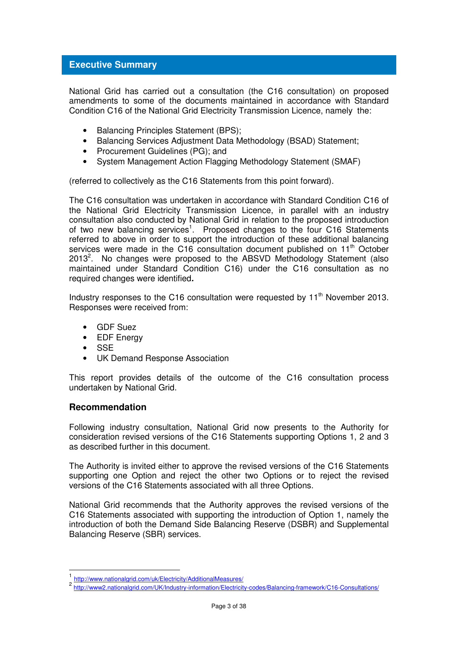#### **Executive Summary**

National Grid has carried out a consultation (the C16 consultation) on proposed amendments to some of the documents maintained in accordance with Standard Condition C16 of the National Grid Electricity Transmission Licence, namely the:

- Balancing Principles Statement (BPS);
- Balancing Services Adjustment Data Methodology (BSAD) Statement;
- Procurement Guidelines (PG); and
- System Management Action Flagging Methodology Statement (SMAF)

(referred to collectively as the C16 Statements from this point forward).

The C16 consultation was undertaken in accordance with Standard Condition C16 of the National Grid Electricity Transmission Licence, in parallel with an industry consultation also conducted by National Grid in relation to the proposed introduction of two new balancing services<sup>1</sup>. Proposed changes to the four C16 Statements referred to above in order to support the introduction of these additional balancing services were made in the C16 consultation document published on 11<sup>th</sup> October  $2013<sup>2</sup>$ . No changes were proposed to the ABSVD Methodology Statement (also maintained under Standard Condition C16) under the C16 consultation as no required changes were identified**.**

Industry responses to the C16 consultation were requested by  $11<sup>th</sup>$  November 2013. Responses were received from:

- GDF Suez
- EDF Energy
- **SSE**
- UK Demand Response Association

This report provides details of the outcome of the C16 consultation process undertaken by National Grid.

#### **Recommendation**

 $\overline{a}$ 

Following industry consultation, National Grid now presents to the Authority for consideration revised versions of the C16 Statements supporting Options 1, 2 and 3 as described further in this document.

The Authority is invited either to approve the revised versions of the C16 Statements supporting one Option and reject the other two Options or to reject the revised versions of the C16 Statements associated with all three Options.

National Grid recommends that the Authority approves the revised versions of the C16 Statements associated with supporting the introduction of Option 1, namely the introduction of both the Demand Side Balancing Reserve (DSBR) and Supplemental Balancing Reserve (SBR) services.

<sup>1</sup> http://www.nationalgrid.com/uk/Electricity/AdditionalMeasures/

<sup>2</sup> http://www2.nationalgrid.com/UK/Industry-information/Electricity-codes/Balancing-framework/C16-Consultations/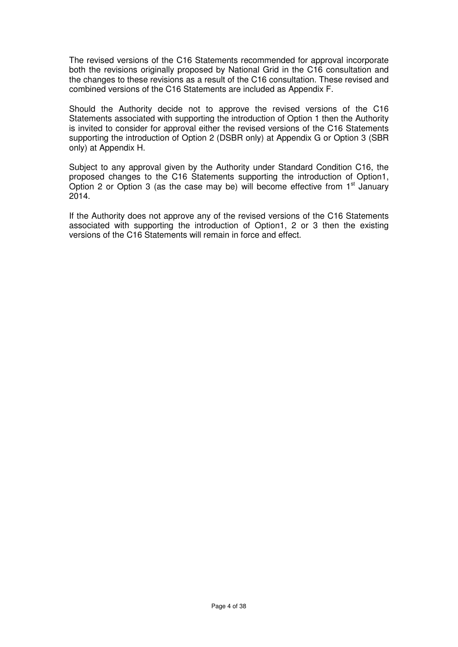The revised versions of the C16 Statements recommended for approval incorporate both the revisions originally proposed by National Grid in the C16 consultation and the changes to these revisions as a result of the C16 consultation. These revised and combined versions of the C16 Statements are included as Appendix F.

Should the Authority decide not to approve the revised versions of the C16 Statements associated with supporting the introduction of Option 1 then the Authority is invited to consider for approval either the revised versions of the C16 Statements supporting the introduction of Option 2 (DSBR only) at Appendix G or Option 3 (SBR only) at Appendix H.

Subject to any approval given by the Authority under Standard Condition C16, the proposed changes to the C16 Statements supporting the introduction of Option1, Option 2 or Option 3 (as the case may be) will become effective from  $1<sup>st</sup>$  January 2014.

If the Authority does not approve any of the revised versions of the C16 Statements associated with supporting the introduction of Option1, 2 or 3 then the existing versions of the C16 Statements will remain in force and effect.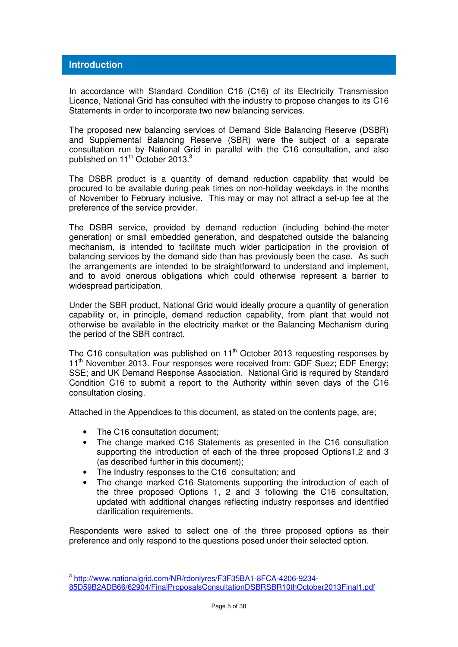In accordance with Standard Condition C16 (C16) of its Electricity Transmission Licence, National Grid has consulted with the industry to propose changes to its C16 Statements in order to incorporate two new balancing services.

The proposed new balancing services of Demand Side Balancing Reserve (DSBR) and Supplemental Balancing Reserve (SBR) were the subject of a separate consultation run by National Grid in parallel with the C16 consultation, and also published on 11<sup>th</sup> October 2013.<sup>3</sup>

The DSBR product is a quantity of demand reduction capability that would be procured to be available during peak times on non-holiday weekdays in the months of November to February inclusive. This may or may not attract a set-up fee at the preference of the service provider.

The DSBR service, provided by demand reduction (including behind-the-meter generation) or small embedded generation, and despatched outside the balancing mechanism, is intended to facilitate much wider participation in the provision of balancing services by the demand side than has previously been the case. As such the arrangements are intended to be straightforward to understand and implement, and to avoid onerous obligations which could otherwise represent a barrier to widespread participation.

Under the SBR product, National Grid would ideally procure a quantity of generation capability or, in principle, demand reduction capability, from plant that would not otherwise be available in the electricity market or the Balancing Mechanism during the period of the SBR contract.

The C16 consultation was published on 11<sup>th</sup> October 2013 requesting responses by 11<sup>th</sup> November 2013. Four responses were received from: GDF Suez; EDF Energy; SSE; and UK Demand Response Association. National Grid is required by Standard Condition C16 to submit a report to the Authority within seven days of the C16 consultation closing.

Attached in the Appendices to this document, as stated on the contents page, are;

- The C16 consultation document:
- The change marked C16 Statements as presented in the C16 consultation supporting the introduction of each of the three proposed Options1,2 and 3 (as described further in this document);
- The Industry responses to the C16 consultation; and
- The change marked C16 Statements supporting the introduction of each of the three proposed Options 1, 2 and 3 following the C16 consultation, updated with additional changes reflecting industry responses and identified clarification requirements.

Respondents were asked to select one of the three proposed options as their preference and only respond to the questions posed under their selected option.

 3 http://www.nationalgrid.com/NR/rdonlyres/F3F35BA1-8FCA-4206-9234-

<sup>85</sup>D59B2ADB66/62904/FinalProposalsConsultationDSBRSBR10thOctober2013Final1.pdf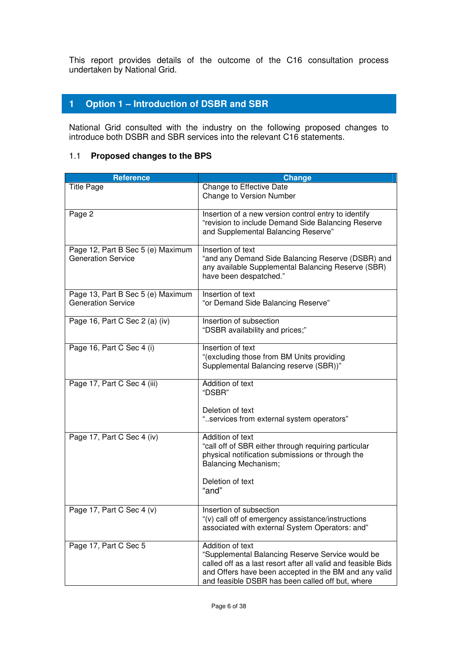This report provides details of the outcome of the C16 consultation process undertaken by National Grid.

## **1 Option 1 – Introduction of DSBR and SBR**

National Grid consulted with the industry on the following proposed changes to introduce both DSBR and SBR services into the relevant C16 statements.

#### 1.1 **Proposed changes to the BPS**

| <b>Reference</b>                                               | <b>Change</b>                                                                                                                                                                                                                                      |
|----------------------------------------------------------------|----------------------------------------------------------------------------------------------------------------------------------------------------------------------------------------------------------------------------------------------------|
| <b>Title Page</b>                                              | Change to Effective Date<br>Change to Version Number                                                                                                                                                                                               |
| Page 2                                                         | Insertion of a new version control entry to identify<br>"revision to include Demand Side Balancing Reserve<br>and Supplemental Balancing Reserve"                                                                                                  |
| Page 12, Part B Sec 5 (e) Maximum<br><b>Generation Service</b> | Insertion of text<br>"and any Demand Side Balancing Reserve (DSBR) and<br>any available Supplemental Balancing Reserve (SBR)<br>have been despatched."                                                                                             |
| Page 13, Part B Sec 5 (e) Maximum<br><b>Generation Service</b> | Insertion of text<br>"or Demand Side Balancing Reserve"                                                                                                                                                                                            |
| Page 16, Part C Sec 2 (a) (iv)                                 | Insertion of subsection<br>"DSBR availability and prices;"                                                                                                                                                                                         |
| Page 16, Part C Sec 4 (i)                                      | Insertion of text<br>"(excluding those from BM Units providing<br>Supplemental Balancing reserve (SBR))"                                                                                                                                           |
| Page 17, Part C Sec 4 (iii)                                    | Addition of text<br>"DSBR"<br>Deletion of text<br>"services from external system operators"                                                                                                                                                        |
| Page 17, Part C Sec 4 (iv)                                     | Addition of text<br>"call off of SBR either through requiring particular<br>physical notification submissions or through the<br>Balancing Mechanism;<br>Deletion of text<br>"and"                                                                  |
| Page 17, Part C Sec 4 (v)                                      | Insertion of subsection<br>"(v) call off of emergency assistance/instructions<br>associated with external System Operators: and"                                                                                                                   |
| Page 17, Part C Sec 5                                          | Addition of text<br>"Supplemental Balancing Reserve Service would be<br>called off as a last resort after all valid and feasible Bids<br>and Offers have been accepted in the BM and any valid<br>and feasible DSBR has been called off but, where |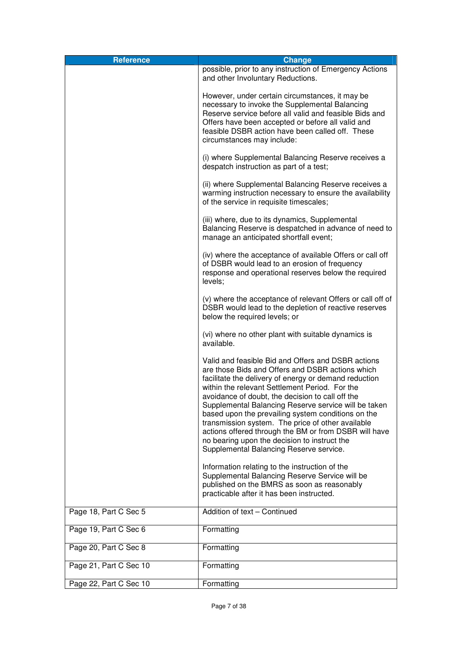| <b>Reference</b>       | <b>Change</b>                                                                                                                                                                                                                                                                                                                                                                                                                                                                                                                                                                                |  |  |
|------------------------|----------------------------------------------------------------------------------------------------------------------------------------------------------------------------------------------------------------------------------------------------------------------------------------------------------------------------------------------------------------------------------------------------------------------------------------------------------------------------------------------------------------------------------------------------------------------------------------------|--|--|
|                        | possible, prior to any instruction of Emergency Actions<br>and other Involuntary Reductions.                                                                                                                                                                                                                                                                                                                                                                                                                                                                                                 |  |  |
|                        | However, under certain circumstances, it may be<br>necessary to invoke the Supplemental Balancing<br>Reserve service before all valid and feasible Bids and<br>Offers have been accepted or before all valid and<br>feasible DSBR action have been called off. These<br>circumstances may include:                                                                                                                                                                                                                                                                                           |  |  |
|                        | (i) where Supplemental Balancing Reserve receives a<br>despatch instruction as part of a test;                                                                                                                                                                                                                                                                                                                                                                                                                                                                                               |  |  |
|                        | (ii) where Supplemental Balancing Reserve receives a<br>warming instruction necessary to ensure the availability<br>of the service in requisite timescales;                                                                                                                                                                                                                                                                                                                                                                                                                                  |  |  |
|                        | (iii) where, due to its dynamics, Supplemental<br>Balancing Reserve is despatched in advance of need to<br>manage an anticipated shortfall event;                                                                                                                                                                                                                                                                                                                                                                                                                                            |  |  |
|                        | (iv) where the acceptance of available Offers or call off<br>of DSBR would lead to an erosion of frequency<br>response and operational reserves below the required<br>levels;                                                                                                                                                                                                                                                                                                                                                                                                                |  |  |
|                        | (v) where the acceptance of relevant Offers or call off of<br>DSBR would lead to the depletion of reactive reserves<br>below the required levels; or                                                                                                                                                                                                                                                                                                                                                                                                                                         |  |  |
|                        | (vi) where no other plant with suitable dynamics is<br>available.                                                                                                                                                                                                                                                                                                                                                                                                                                                                                                                            |  |  |
|                        | Valid and feasible Bid and Offers and DSBR actions<br>are those Bids and Offers and DSBR actions which<br>facilitate the delivery of energy or demand reduction<br>within the relevant Settlement Period. For the<br>avoidance of doubt, the decision to call off the<br>Supplemental Balancing Reserve service will be taken<br>based upon the prevailing system conditions on the<br>transmission system. The price of other available<br>actions offered through the BM or from DSBR will have<br>no bearing upon the decision to instruct the<br>Supplemental Balancing Reserve service. |  |  |
|                        | Information relating to the instruction of the<br>Supplemental Balancing Reserve Service will be<br>published on the BMRS as soon as reasonably<br>practicable after it has been instructed.                                                                                                                                                                                                                                                                                                                                                                                                 |  |  |
| Page 18, Part C Sec 5  | Addition of text - Continued                                                                                                                                                                                                                                                                                                                                                                                                                                                                                                                                                                 |  |  |
| Page 19, Part C Sec 6  | Formatting                                                                                                                                                                                                                                                                                                                                                                                                                                                                                                                                                                                   |  |  |
| Page 20, Part C Sec 8  | Formatting                                                                                                                                                                                                                                                                                                                                                                                                                                                                                                                                                                                   |  |  |
| Page 21, Part C Sec 10 | Formatting                                                                                                                                                                                                                                                                                                                                                                                                                                                                                                                                                                                   |  |  |
| Page 22, Part C Sec 10 | Formatting                                                                                                                                                                                                                                                                                                                                                                                                                                                                                                                                                                                   |  |  |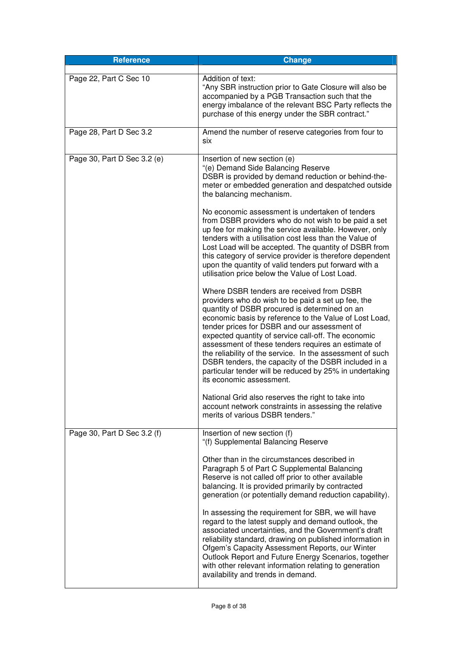| <b>Reference</b>            | <b>Change</b>                                                                                                                                                                                                                                                                                                                                                                                                                                                                                                                                                                        |
|-----------------------------|--------------------------------------------------------------------------------------------------------------------------------------------------------------------------------------------------------------------------------------------------------------------------------------------------------------------------------------------------------------------------------------------------------------------------------------------------------------------------------------------------------------------------------------------------------------------------------------|
| Page 22, Part C Sec 10      | Addition of text:<br>"Any SBR instruction prior to Gate Closure will also be<br>accompanied by a PGB Transaction such that the<br>energy imbalance of the relevant BSC Party reflects the<br>purchase of this energy under the SBR contract."                                                                                                                                                                                                                                                                                                                                        |
| Page 28, Part D Sec 3.2     | Amend the number of reserve categories from four to<br>six                                                                                                                                                                                                                                                                                                                                                                                                                                                                                                                           |
| Page 30, Part D Sec 3.2 (e) | Insertion of new section (e)<br>"(e) Demand Side Balancing Reserve<br>DSBR is provided by demand reduction or behind-the-<br>meter or embedded generation and despatched outside<br>the balancing mechanism.<br>No economic assessment is undertaken of tenders                                                                                                                                                                                                                                                                                                                      |
|                             | from DSBR providers who do not wish to be paid a set<br>up fee for making the service available. However, only<br>tenders with a utilisation cost less than the Value of<br>Lost Load will be accepted. The quantity of DSBR from<br>this category of service provider is therefore dependent<br>upon the quantity of valid tenders put forward with a<br>utilisation price below the Value of Lost Load.                                                                                                                                                                            |
|                             | Where DSBR tenders are received from DSBR<br>providers who do wish to be paid a set up fee, the<br>quantity of DSBR procured is determined on an<br>economic basis by reference to the Value of Lost Load,<br>tender prices for DSBR and our assessment of<br>expected quantity of service call-off. The economic<br>assessment of these tenders requires an estimate of<br>the reliability of the service. In the assessment of such<br>DSBR tenders, the capacity of the DSBR included in a<br>particular tender will be reduced by 25% in undertaking<br>its economic assessment. |
|                             | National Grid also reserves the right to take into<br>account network constraints in assessing the relative<br>merits of various DSBR tenders."                                                                                                                                                                                                                                                                                                                                                                                                                                      |
| Page 30, Part D Sec 3.2 (f) | Insertion of new section (f)<br>"(f) Supplemental Balancing Reserve                                                                                                                                                                                                                                                                                                                                                                                                                                                                                                                  |
|                             | Other than in the circumstances described in<br>Paragraph 5 of Part C Supplemental Balancing<br>Reserve is not called off prior to other available<br>balancing. It is provided primarily by contracted<br>generation (or potentially demand reduction capability).                                                                                                                                                                                                                                                                                                                  |
|                             | In assessing the requirement for SBR, we will have<br>regard to the latest supply and demand outlook, the<br>associated uncertainties, and the Government's draft<br>reliability standard, drawing on published information in<br>Ofgem's Capacity Assessment Reports, our Winter<br>Outlook Report and Future Energy Scenarios, together<br>with other relevant information relating to generation<br>availability and trends in demand.                                                                                                                                            |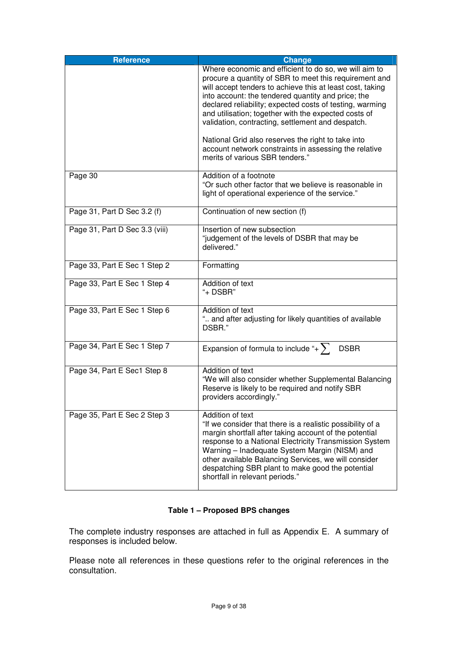| <b>Reference</b>               | <b>Change</b>                                                                                                                                                                                                                                                                                                                                                                                                                                                                                                                                                 |
|--------------------------------|---------------------------------------------------------------------------------------------------------------------------------------------------------------------------------------------------------------------------------------------------------------------------------------------------------------------------------------------------------------------------------------------------------------------------------------------------------------------------------------------------------------------------------------------------------------|
|                                | Where economic and efficient to do so, we will aim to<br>procure a quantity of SBR to meet this requirement and<br>will accept tenders to achieve this at least cost, taking<br>into account: the tendered quantity and price; the<br>declared reliability; expected costs of testing, warming<br>and utilisation; together with the expected costs of<br>validation, contracting, settlement and despatch.<br>National Grid also reserves the right to take into<br>account network constraints in assessing the relative<br>merits of various SBR tenders." |
| Page 30                        | Addition of a footnote<br>"Or such other factor that we believe is reasonable in<br>light of operational experience of the service."                                                                                                                                                                                                                                                                                                                                                                                                                          |
| Page 31, Part D Sec 3.2 (f)    | Continuation of new section (f)                                                                                                                                                                                                                                                                                                                                                                                                                                                                                                                               |
| Page 31, Part D Sec 3.3 (viii) | Insertion of new subsection<br>"judgement of the levels of DSBR that may be<br>delivered."                                                                                                                                                                                                                                                                                                                                                                                                                                                                    |
| Page 33, Part E Sec 1 Step 2   | Formatting                                                                                                                                                                                                                                                                                                                                                                                                                                                                                                                                                    |
| Page 33, Part E Sec 1 Step 4   | Addition of text<br>"+ DSBR"                                                                                                                                                                                                                                                                                                                                                                                                                                                                                                                                  |
| Page 33, Part E Sec 1 Step 6   | Addition of text<br>" and after adjusting for likely quantities of available<br>DSBR."                                                                                                                                                                                                                                                                                                                                                                                                                                                                        |
| Page 34, Part E Sec 1 Step 7   | Expansion of formula to include "+ $\sum$<br><b>DSBR</b>                                                                                                                                                                                                                                                                                                                                                                                                                                                                                                      |
| Page 34, Part E Sec1 Step 8    | Addition of text<br>"We will also consider whether Supplemental Balancing<br>Reserve is likely to be required and notify SBR<br>providers accordingly."                                                                                                                                                                                                                                                                                                                                                                                                       |
| Page 35, Part E Sec 2 Step 3   | Addition of text<br>"If we consider that there is a realistic possibility of a<br>margin shortfall after taking account of the potential<br>response to a National Electricity Transmission System<br>Warning - Inadequate System Margin (NISM) and<br>other available Balancing Services, we will consider<br>despatching SBR plant to make good the potential<br>shortfall in relevant periods."                                                                                                                                                            |

## **Table 1 – Proposed BPS changes**

The complete industry responses are attached in full as Appendix E. A summary of responses is included below.

Please note all references in these questions refer to the original references in the consultation.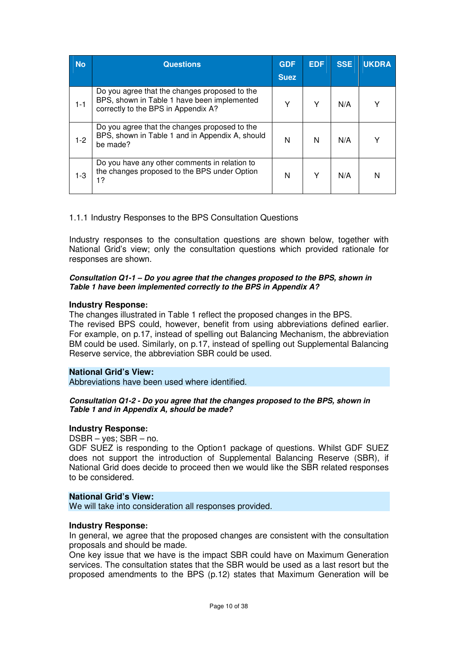| <b>No</b> | <b>Questions</b>                                                                                                                    | <b>GDF</b>  | <b>EDF</b> | <b>SSE</b> | <b>UKDRA</b> |
|-----------|-------------------------------------------------------------------------------------------------------------------------------------|-------------|------------|------------|--------------|
|           |                                                                                                                                     | <b>Suez</b> |            |            |              |
| $1 - 1$   | Do you agree that the changes proposed to the<br>BPS, shown in Table 1 have been implemented<br>correctly to the BPS in Appendix A? | Υ           | Υ          | N/A        |              |
| $1 - 2$   | Do you agree that the changes proposed to the<br>BPS, shown in Table 1 and in Appendix A, should<br>be made?                        | N           | N          | N/A        | Υ            |
| $1 - 3$   | Do you have any other comments in relation to<br>the changes proposed to the BPS under Option<br>1?                                 | N           | Y          | N/A        | N            |

1.1.1 Industry Responses to the BPS Consultation Questions

Industry responses to the consultation questions are shown below, together with National Grid's view; only the consultation questions which provided rationale for responses are shown.

#### **Consultation Q1-1 – Do you agree that the changes proposed to the BPS, shown in Table 1 have been implemented correctly to the BPS in Appendix A?**

#### **Industry Response:**

The changes illustrated in Table 1 reflect the proposed changes in the BPS. The revised BPS could, however, benefit from using abbreviations defined earlier. For example, on p.17, instead of spelling out Balancing Mechanism, the abbreviation BM could be used. Similarly, on p.17, instead of spelling out Supplemental Balancing Reserve service, the abbreviation SBR could be used.

#### **National Grid's View:**

Abbreviations have been used where identified.

#### **Consultation Q1-2 - Do you agree that the changes proposed to the BPS, shown in Table 1 and in Appendix A, should be made?**

#### **Industry Response:**

DSBR – yes; SBR – no.

GDF SUEZ is responding to the Option1 package of questions. Whilst GDF SUEZ does not support the introduction of Supplemental Balancing Reserve (SBR), if National Grid does decide to proceed then we would like the SBR related responses to be considered.

#### **National Grid's View:**

We will take into consideration all responses provided.

#### **Industry Response:**

In general, we agree that the proposed changes are consistent with the consultation proposals and should be made.

One key issue that we have is the impact SBR could have on Maximum Generation services. The consultation states that the SBR would be used as a last resort but the proposed amendments to the BPS (p.12) states that Maximum Generation will be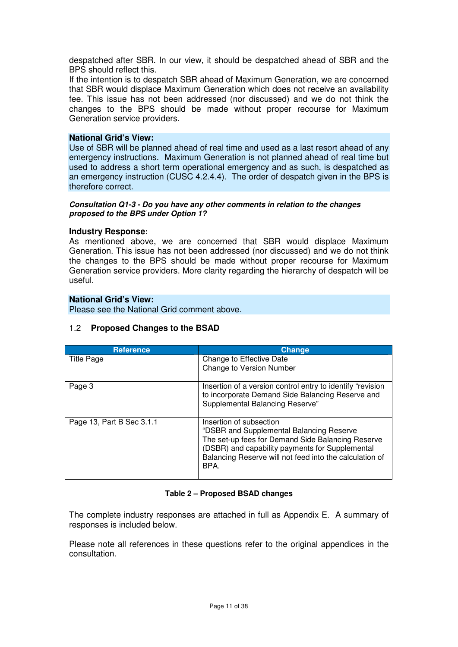despatched after SBR. In our view, it should be despatched ahead of SBR and the BPS should reflect this.

If the intention is to despatch SBR ahead of Maximum Generation, we are concerned that SBR would displace Maximum Generation which does not receive an availability fee. This issue has not been addressed (nor discussed) and we do not think the changes to the BPS should be made without proper recourse for Maximum Generation service providers.

#### **National Grid's View:**

Use of SBR will be planned ahead of real time and used as a last resort ahead of any emergency instructions. Maximum Generation is not planned ahead of real time but used to address a short term operational emergency and as such, is despatched as an emergency instruction (CUSC 4.2.4.4). The order of despatch given in the BPS is therefore correct.

#### **Consultation Q1-3 - Do you have any other comments in relation to the changes proposed to the BPS under Option 1?**

#### **Industry Response:**

As mentioned above, we are concerned that SBR would displace Maximum Generation. This issue has not been addressed (nor discussed) and we do not think the changes to the BPS should be made without proper recourse for Maximum Generation service providers. More clarity regarding the hierarchy of despatch will be useful.

#### **National Grid's View:**

Please see the National Grid comment above.

#### 1.2 **Proposed Changes to the BSAD**

| <b>Reference</b>          | Change                                                                                                                                                                                                                                         |
|---------------------------|------------------------------------------------------------------------------------------------------------------------------------------------------------------------------------------------------------------------------------------------|
| <b>Title Page</b>         | Change to Effective Date<br>Change to Version Number                                                                                                                                                                                           |
| Page 3                    | Insertion of a version control entry to identify "revision<br>to incorporate Demand Side Balancing Reserve and<br>Supplemental Balancing Reserve"                                                                                              |
| Page 13, Part B Sec 3.1.1 | Insertion of subsection<br>"DSBR and Supplemental Balancing Reserve<br>The set-up fees for Demand Side Balancing Reserve<br>(DSBR) and capability payments for Supplemental<br>Balancing Reserve will not feed into the calculation of<br>BPA. |

#### **Table 2 – Proposed BSAD changes**

The complete industry responses are attached in full as Appendix E. A summary of responses is included below.

Please note all references in these questions refer to the original appendices in the consultation.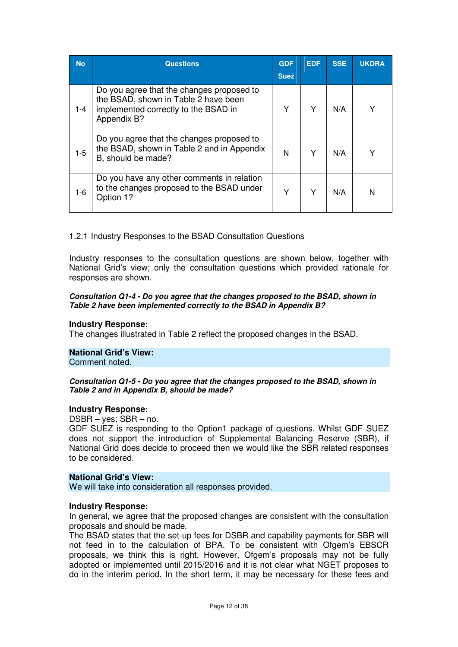| <b>No</b> | <b>Questions</b>                                                                                                                         | <b>GDF</b>  | <b>EDF</b> | <b>SSE</b> | <b>UKDRA</b> |
|-----------|------------------------------------------------------------------------------------------------------------------------------------------|-------------|------------|------------|--------------|
|           |                                                                                                                                          | <b>Suez</b> |            |            |              |
| $1 - 4$   | Do you agree that the changes proposed to<br>the BSAD, shown in Table 2 have been<br>implemented correctly to the BSAD in<br>Appendix B? | Υ           | Υ          | N/A        |              |
| $1-5$     | Do you agree that the changes proposed to<br>the BSAD, shown in Table 2 and in Appendix<br>B, should be made?                            | N           | Υ          | N/A        |              |
| $1 - 6$   | Do you have any other comments in relation<br>to the changes proposed to the BSAD under<br>Option 1?                                     | Υ           | Υ          | N/A        | N            |

1.2.1 Industry Responses to the BSAD Consultation Questions

Industry responses to the consultation questions are shown below, together with National Grid's view; only the consultation questions which provided rationale for responses are shown.

#### **Consultation Q1-4 - Do you agree that the changes proposed to the BSAD, shown in Table 2 have been implemented correctly to the BSAD in Appendix B?**

#### **Industry Response:**

The changes illustrated in Table 2 reflect the proposed changes in the BSAD.

## **National Grid's View:**

Comment noted.

#### **Consultation Q1-5 - Do you agree that the changes proposed to the BSAD, shown in Table 2 and in Appendix B, should be made?**

#### **Industry Response:**

DSBR – yes; SBR – no.

GDF SUEZ is responding to the Option1 package of questions. Whilst GDF SUEZ does not support the introduction of Supplemental Balancing Reserve (SBR), if National Grid does decide to proceed then we would like the SBR related responses to be considered.

#### **National Grid's View:**

We will take into consideration all responses provided.

#### **Industry Response:**

In general, we agree that the proposed changes are consistent with the consultation proposals and should be made.

The BSAD states that the set-up fees for DSBR and capability payments for SBR will not feed in to the calculation of BPA. To be consistent with Ofgem's EBSCR proposals, we think this is right. However, Ofgem's proposals may not be fully adopted or implemented until 2015/2016 and it is not clear what NGET proposes to do in the interim period. In the short term, it may be necessary for these fees and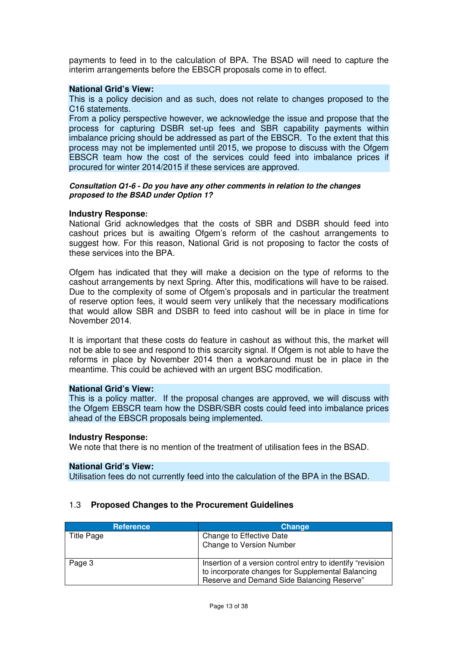payments to feed in to the calculation of BPA. The BSAD will need to capture the interim arrangements before the EBSCR proposals come in to effect.

#### **National Grid's View:**

This is a policy decision and as such, does not relate to changes proposed to the C16 statements.

From a policy perspective however, we acknowledge the issue and propose that the process for capturing DSBR set-up fees and SBR capability payments within imbalance pricing should be addressed as part of the EBSCR. To the extent that this process may not be implemented until 2015, we propose to discuss with the Ofgem EBSCR team how the cost of the services could feed into imbalance prices if procured for winter 2014/2015 if these services are approved.

#### **Consultation Q1-6 - Do you have any other comments in relation to the changes proposed to the BSAD under Option 1?**

#### **Industry Response:**

National Grid acknowledges that the costs of SBR and DSBR should feed into cashout prices but is awaiting Ofgem's reform of the cashout arrangements to suggest how. For this reason, National Grid is not proposing to factor the costs of these services into the BPA.

Ofgem has indicated that they will make a decision on the type of reforms to the cashout arrangements by next Spring. After this, modifications will have to be raised. Due to the complexity of some of Ofgem's proposals and in particular the treatment of reserve option fees, it would seem very unlikely that the necessary modifications that would allow SBR and DSBR to feed into cashout will be in place in time for November 2014.

It is important that these costs do feature in cashout as without this, the market will not be able to see and respond to this scarcity signal. If Ofgem is not able to have the reforms in place by November 2014 then a workaround must be in place in the meantime. This could be achieved with an urgent BSC modification.

#### **National Grid's View:**

This is a policy matter. If the proposal changes are approved, we will discuss with the Ofgem EBSCR team how the DSBR/SBR costs could feed into imbalance prices ahead of the EBSCR proposals being implemented.

#### **Industry Response:**

We note that there is no mention of the treatment of utilisation fees in the BSAD.

#### **National Grid's View:**

Utilisation fees do not currently feed into the calculation of the BPA in the BSAD.

#### 1.3 **Proposed Changes to the Procurement Guidelines**

| <b>Reference</b>  | <b>Change</b>                                                                                                                                                 |
|-------------------|---------------------------------------------------------------------------------------------------------------------------------------------------------------|
| <b>Title Page</b> | Change to Effective Date<br>Change to Version Number                                                                                                          |
| Page 3            | Insertion of a version control entry to identify "revision<br>to incorporate changes for Supplemental Balancing<br>Reserve and Demand Side Balancing Reserve" |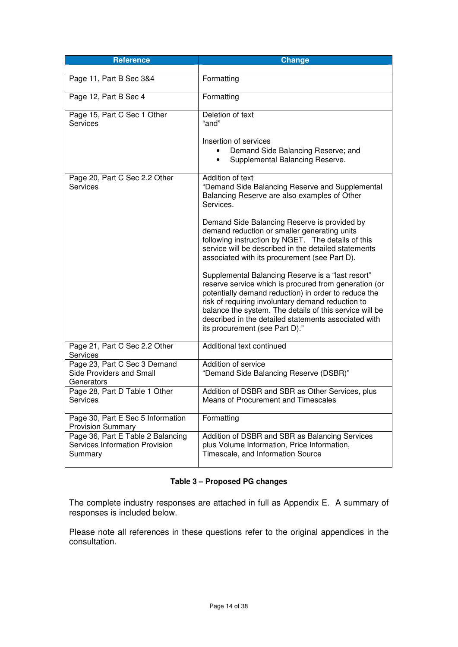| <b>Reference</b>                                                               | <b>Change</b>                                                                                                                                                                                                                                                                                                                                                                |
|--------------------------------------------------------------------------------|------------------------------------------------------------------------------------------------------------------------------------------------------------------------------------------------------------------------------------------------------------------------------------------------------------------------------------------------------------------------------|
|                                                                                |                                                                                                                                                                                                                                                                                                                                                                              |
| Page 11, Part B Sec 3&4                                                        | Formatting                                                                                                                                                                                                                                                                                                                                                                   |
| Page 12, Part B Sec 4                                                          | Formatting                                                                                                                                                                                                                                                                                                                                                                   |
| Page 15, Part C Sec 1 Other<br><b>Services</b>                                 | Deletion of text<br>"and"                                                                                                                                                                                                                                                                                                                                                    |
|                                                                                | Insertion of services<br>Demand Side Balancing Reserve; and<br>Supplemental Balancing Reserve.                                                                                                                                                                                                                                                                               |
| Page 20, Part C Sec 2.2 Other<br><b>Services</b>                               | Addition of text<br>"Demand Side Balancing Reserve and Supplemental<br>Balancing Reserve are also examples of Other<br>Services.                                                                                                                                                                                                                                             |
|                                                                                | Demand Side Balancing Reserve is provided by<br>demand reduction or smaller generating units<br>following instruction by NGET. The details of this<br>service will be described in the detailed statements<br>associated with its procurement (see Part D).                                                                                                                  |
|                                                                                | Supplemental Balancing Reserve is a "last resort"<br>reserve service which is procured from generation (or<br>potentially demand reduction) in order to reduce the<br>risk of requiring involuntary demand reduction to<br>balance the system. The details of this service will be<br>described in the detailed statements associated with<br>its procurement (see Part D)." |
| Page 21, Part C Sec 2.2 Other<br><b>Services</b>                               | Additional text continued                                                                                                                                                                                                                                                                                                                                                    |
| Page 23, Part C Sec 3 Demand<br>Side Providers and Small<br>Generators         | Addition of service<br>"Demand Side Balancing Reserve (DSBR)"                                                                                                                                                                                                                                                                                                                |
| Page 28, Part D Table 1 Other<br>Services                                      | Addition of DSBR and SBR as Other Services, plus<br>Means of Procurement and Timescales                                                                                                                                                                                                                                                                                      |
| Page 30, Part E Sec 5 Information<br><b>Provision Summary</b>                  | Formatting                                                                                                                                                                                                                                                                                                                                                                   |
| Page 36, Part E Table 2 Balancing<br>Services Information Provision<br>Summary | Addition of DSBR and SBR as Balancing Services<br>plus Volume Information, Price Information,<br>Timescale, and Information Source                                                                                                                                                                                                                                           |

## **Table 3 – Proposed PG changes**

The complete industry responses are attached in full as Appendix E. A summary of responses is included below.

Please note all references in these questions refer to the original appendices in the consultation.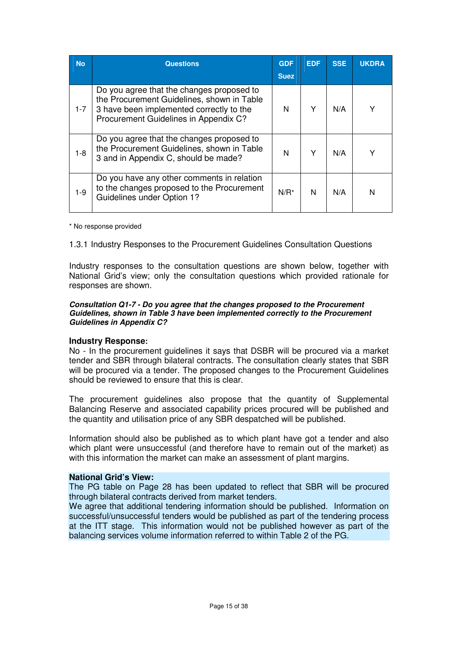| <b>No</b> | <b>Questions</b>                                                                                                                                                             | <b>GDF</b><br><b>Suez</b> | <b>EDF</b> | <b>SSE</b> | <b>UKDRA</b> |
|-----------|------------------------------------------------------------------------------------------------------------------------------------------------------------------------------|---------------------------|------------|------------|--------------|
| $1 - 7$   | Do you agree that the changes proposed to<br>the Procurement Guidelines, shown in Table<br>3 have been implemented correctly to the<br>Procurement Guidelines in Appendix C? | N                         | Υ          | N/A        |              |
| $1 - 8$   | Do you agree that the changes proposed to<br>the Procurement Guidelines, shown in Table<br>3 and in Appendix C, should be made?                                              | N                         | Υ          | N/A        |              |
| $1 - 9$   | Do you have any other comments in relation<br>to the changes proposed to the Procurement<br>Guidelines under Option 1?                                                       | $N/R^*$                   | N          | N/A        | N            |

\* No response provided

1.3.1 Industry Responses to the Procurement Guidelines Consultation Questions

Industry responses to the consultation questions are shown below, together with National Grid's view; only the consultation questions which provided rationale for responses are shown.

#### **Consultation Q1-7 - Do you agree that the changes proposed to the Procurement Guidelines, shown in Table 3 have been implemented correctly to the Procurement Guidelines in Appendix C?**

#### **Industry Response:**

No - In the procurement guidelines it says that DSBR will be procured via a market tender and SBR through bilateral contracts. The consultation clearly states that SBR will be procured via a tender. The proposed changes to the Procurement Guidelines should be reviewed to ensure that this is clear.

The procurement guidelines also propose that the quantity of Supplemental Balancing Reserve and associated capability prices procured will be published and the quantity and utilisation price of any SBR despatched will be published.

Information should also be published as to which plant have got a tender and also which plant were unsuccessful (and therefore have to remain out of the market) as with this information the market can make an assessment of plant margins.

#### **National Grid's View:**

The PG table on Page 28 has been updated to reflect that SBR will be procured through bilateral contracts derived from market tenders.

We agree that additional tendering information should be published. Information on successful/unsuccessful tenders would be published as part of the tendering process at the ITT stage. This information would not be published however as part of the balancing services volume information referred to within Table 2 of the PG.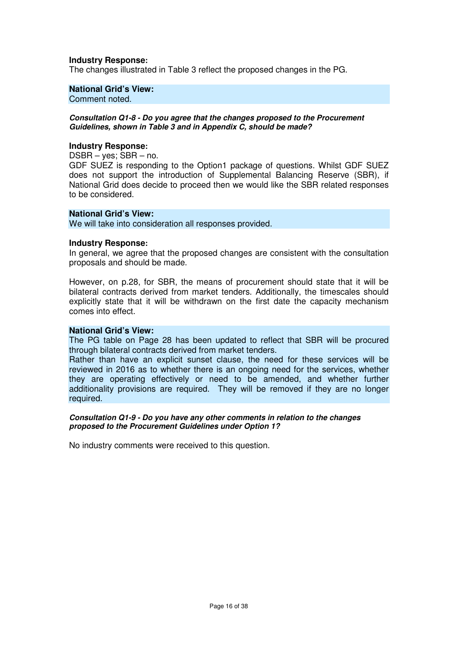#### **Industry Response:**

The changes illustrated in Table 3 reflect the proposed changes in the PG.

#### **National Grid's View:**

Comment noted.

#### **Consultation Q1-8 - Do you agree that the changes proposed to the Procurement Guidelines, shown in Table 3 and in Appendix C, should be made?**

#### **Industry Response:**

DSBR – yes; SBR – no. GDF SUEZ is responding to the Option1 package of questions. Whilst GDF SUEZ does not support the introduction of Supplemental Balancing Reserve (SBR), if National Grid does decide to proceed then we would like the SBR related responses to be considered.

#### **National Grid's View:**

We will take into consideration all responses provided.

#### **Industry Response:**

In general, we agree that the proposed changes are consistent with the consultation proposals and should be made.

However, on p.28, for SBR, the means of procurement should state that it will be bilateral contracts derived from market tenders. Additionally, the timescales should explicitly state that it will be withdrawn on the first date the capacity mechanism comes into effect.

#### **National Grid's View:**

The PG table on Page 28 has been updated to reflect that SBR will be procured through bilateral contracts derived from market tenders.

Rather than have an explicit sunset clause, the need for these services will be reviewed in 2016 as to whether there is an ongoing need for the services, whether they are operating effectively or need to be amended, and whether further additionality provisions are required. They will be removed if they are no longer required.

#### **Consultation Q1-9 - Do you have any other comments in relation to the changes proposed to the Procurement Guidelines under Option 1?**

No industry comments were received to this question.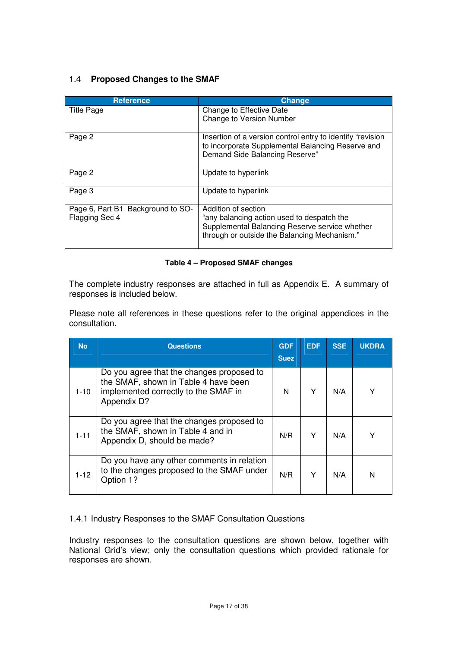## 1.4 **Proposed Changes to the SMAF**

| <b>Reference</b>                  | <b>Change</b>                                                                                                   |
|-----------------------------------|-----------------------------------------------------------------------------------------------------------------|
| <b>Title Page</b>                 | Change to Effective Date                                                                                        |
|                                   | Change to Version Number                                                                                        |
| Page 2                            | Insertion of a version control entry to identify "revision<br>to incorporate Supplemental Balancing Reserve and |
|                                   | Demand Side Balancing Reserve"                                                                                  |
|                                   |                                                                                                                 |
| Page 2                            | Update to hyperlink                                                                                             |
| Page 3                            | Update to hyperlink                                                                                             |
| Page 6, Part B1 Background to SO- | Addition of section                                                                                             |
|                                   | "any balancing action used to despatch the                                                                      |
|                                   | through or outside the Balancing Mechanism."                                                                    |
| Flagging Sec 4                    | Supplemental Balancing Reserve service whether                                                                  |

#### **Table 4 – Proposed SMAF changes**

The complete industry responses are attached in full as Appendix E. A summary of responses is included below.

Please note all references in these questions refer to the original appendices in the consultation.

| <b>No</b> | <b>Questions</b>                                                                                                                         | <b>GDF</b>  | <b>EDF</b> | <b>SSE</b> | <b>UKDRA</b> |
|-----------|------------------------------------------------------------------------------------------------------------------------------------------|-------------|------------|------------|--------------|
|           |                                                                                                                                          | <b>Suez</b> |            |            |              |
| $1 - 10$  | Do you agree that the changes proposed to<br>the SMAF, shown in Table 4 have been<br>implemented correctly to the SMAF in<br>Appendix D? | N           | Υ          | N/A        |              |
| $1 - 11$  | Do you agree that the changes proposed to<br>the SMAF, shown in Table 4 and in<br>Appendix D, should be made?                            | N/R         | Υ          | N/A        |              |
| $1 - 12$  | Do you have any other comments in relation<br>to the changes proposed to the SMAF under<br>Option 1?                                     | N/R         | Υ          | N/A        | N            |

1.4.1 Industry Responses to the SMAF Consultation Questions

Industry responses to the consultation questions are shown below, together with National Grid's view; only the consultation questions which provided rationale for responses are shown.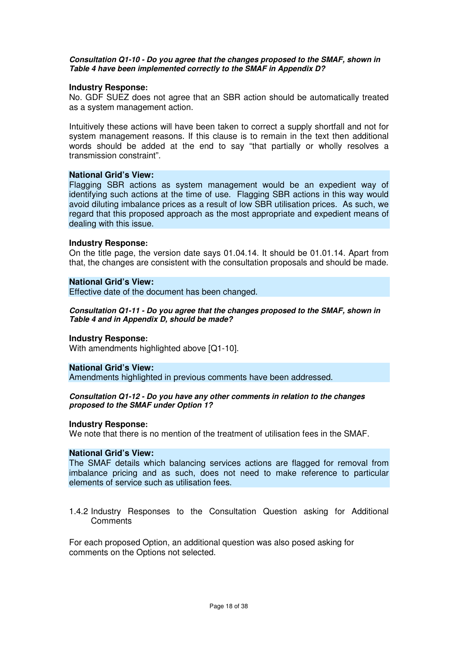#### **Consultation Q1-10 - Do you agree that the changes proposed to the SMAF, shown in Table 4 have been implemented correctly to the SMAF in Appendix D?**

#### **Industry Response:**

No. GDF SUEZ does not agree that an SBR action should be automatically treated as a system management action.

Intuitively these actions will have been taken to correct a supply shortfall and not for system management reasons. If this clause is to remain in the text then additional words should be added at the end to say "that partially or wholly resolves a transmission constraint".

#### **National Grid's View:**

Flagging SBR actions as system management would be an expedient way of identifying such actions at the time of use. Flagging SBR actions in this way would avoid diluting imbalance prices as a result of low SBR utilisation prices. As such, we regard that this proposed approach as the most appropriate and expedient means of dealing with this issue.

#### **Industry Response:**

On the title page, the version date says 01.04.14. It should be 01.01.14. Apart from that, the changes are consistent with the consultation proposals and should be made.

#### **National Grid's View:**

Effective date of the document has been changed.

#### **Consultation Q1-11 - Do you agree that the changes proposed to the SMAF, shown in Table 4 and in Appendix D, should be made?**

#### **Industry Response:**

With amendments highlighted above [Q1-10].

#### **National Grid's View:**

Amendments highlighted in previous comments have been addressed.

#### **Consultation Q1-12 - Do you have any other comments in relation to the changes proposed to the SMAF under Option 1?**

#### **Industry Response:**

We note that there is no mention of the treatment of utilisation fees in the SMAF.

#### **National Grid's View:**

The SMAF details which balancing services actions are flagged for removal from imbalance pricing and as such, does not need to make reference to particular elements of service such as utilisation fees.

1.4.2 Industry Responses to the Consultation Question asking for Additional Comments

For each proposed Option, an additional question was also posed asking for comments on the Options not selected.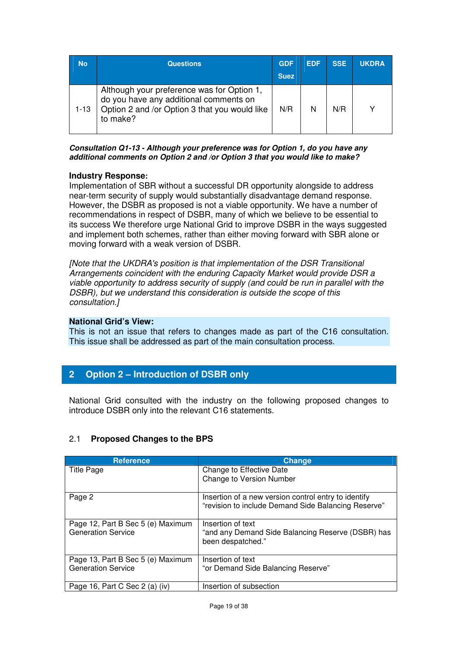| <b>No</b> | <b>Questions</b>                                                                                                                                  | <b>GDF</b><br><b>Suez</b> | <b>EDF</b> | <b>SSE</b> | <b>UKDRA</b> |
|-----------|---------------------------------------------------------------------------------------------------------------------------------------------------|---------------------------|------------|------------|--------------|
| 1-13      | Although your preference was for Option 1,<br>do you have any additional comments on<br>Option 2 and /or Option 3 that you would like<br>to make? | N/R                       | N          | N/R        |              |

**Consultation Q1-13 - Although your preference was for Option 1, do you have any additional comments on Option 2 and /or Option 3 that you would like to make?** 

#### **Industry Response:**

Implementation of SBR without a successful DR opportunity alongside to address near-term security of supply would substantially disadvantage demand response. However, the DSBR as proposed is not a viable opportunity. We have a number of recommendations in respect of DSBR, many of which we believe to be essential to its success We therefore urge National Grid to improve DSBR in the ways suggested and implement both schemes, rather than either moving forward with SBR alone or moving forward with a weak version of DSBR.

[Note that the UKDRA's position is that implementation of the DSR Transitional Arrangements coincident with the enduring Capacity Market would provide DSR a viable opportunity to address security of supply (and could be run in parallel with the DSBR), but we understand this consideration is outside the scope of this consultation.]

#### **National Grid's View:**

This is not an issue that refers to changes made as part of the C16 consultation. This issue shall be addressed as part of the main consultation process.

## **2 Option 2 – Introduction of DSBR only**

National Grid consulted with the industry on the following proposed changes to introduce DSBR only into the relevant C16 statements.

#### 2.1 **Proposed Changes to the BPS**

| <b>Reference</b>                  | <b>Change</b>                                                          |
|-----------------------------------|------------------------------------------------------------------------|
| <b>Title Page</b>                 | Change to Effective Date<br>Change to Version Number                   |
|                                   |                                                                        |
| Page 2                            | Insertion of a new version control entry to identify                   |
|                                   | "revision to include Demand Side Balancing Reserve"                    |
| Page 12, Part B Sec 5 (e) Maximum | Insertion of text                                                      |
| <b>Generation Service</b>         | "and any Demand Side Balancing Reserve (DSBR) has<br>been despatched." |
| Page 13, Part B Sec 5 (e) Maximum | Insertion of text                                                      |
| <b>Generation Service</b>         | "or Demand Side Balancing Reserve"                                     |
| Page 16, Part C Sec 2 (a) (iv)    | Insertion of subsection                                                |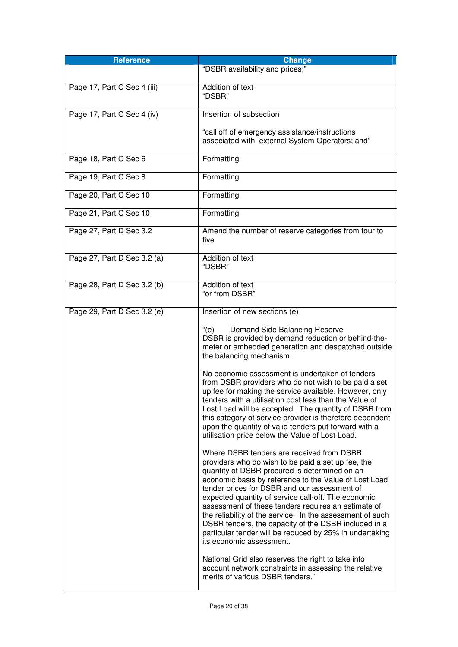| <b>Reference</b>            | <b>Change</b>                                                                                                                                                                                                                                                                                                                                                                                                                                                                                                                                                                                                                              |  |
|-----------------------------|--------------------------------------------------------------------------------------------------------------------------------------------------------------------------------------------------------------------------------------------------------------------------------------------------------------------------------------------------------------------------------------------------------------------------------------------------------------------------------------------------------------------------------------------------------------------------------------------------------------------------------------------|--|
|                             | "DSBR availability and prices;"                                                                                                                                                                                                                                                                                                                                                                                                                                                                                                                                                                                                            |  |
| Page 17, Part C Sec 4 (iii) | Addition of text<br>"DSBR"                                                                                                                                                                                                                                                                                                                                                                                                                                                                                                                                                                                                                 |  |
| Page 17, Part C Sec 4 (iv)  | Insertion of subsection                                                                                                                                                                                                                                                                                                                                                                                                                                                                                                                                                                                                                    |  |
|                             | "call off of emergency assistance/instructions<br>associated with external System Operators; and"                                                                                                                                                                                                                                                                                                                                                                                                                                                                                                                                          |  |
| Page 18, Part C Sec 6       | Formatting                                                                                                                                                                                                                                                                                                                                                                                                                                                                                                                                                                                                                                 |  |
| Page 19, Part C Sec 8       | Formatting                                                                                                                                                                                                                                                                                                                                                                                                                                                                                                                                                                                                                                 |  |
| Page 20, Part C Sec 10      | Formatting                                                                                                                                                                                                                                                                                                                                                                                                                                                                                                                                                                                                                                 |  |
| Page 21, Part C Sec 10      | Formatting                                                                                                                                                                                                                                                                                                                                                                                                                                                                                                                                                                                                                                 |  |
| Page 27, Part D Sec 3.2     | Amend the number of reserve categories from four to<br>five                                                                                                                                                                                                                                                                                                                                                                                                                                                                                                                                                                                |  |
| Page 27, Part D Sec 3.2 (a) | Addition of text<br>"DSBR"                                                                                                                                                                                                                                                                                                                                                                                                                                                                                                                                                                                                                 |  |
| Page 28, Part D Sec 3.2 (b) | Addition of text<br>"or from DSBR"                                                                                                                                                                                                                                                                                                                                                                                                                                                                                                                                                                                                         |  |
| Page 29, Part D Sec 3.2 (e) | Insertion of new sections (e)                                                                                                                                                                                                                                                                                                                                                                                                                                                                                                                                                                                                              |  |
|                             | "(e)<br>Demand Side Balancing Reserve<br>DSBR is provided by demand reduction or behind-the-<br>meter or embedded generation and despatched outside<br>the balancing mechanism.                                                                                                                                                                                                                                                                                                                                                                                                                                                            |  |
|                             | No economic assessment is undertaken of tenders<br>from DSBR providers who do not wish to be paid a set<br>up fee for making the service available. However, only<br>tenders with a utilisation cost less than the Value of<br>Lost Load will be accepted. The quantity of DSBR from<br>this category of service provider is therefore dependent<br>upon the quantity of valid tenders put forward with a<br>utilisation price below the Value of Lost Load.                                                                                                                                                                               |  |
|                             | Where DSBR tenders are received from DSBR<br>providers who do wish to be paid a set up fee, the<br>quantity of DSBR procured is determined on an<br>economic basis by reference to the Value of Lost Load,<br>tender prices for DSBR and our assessment of<br>expected quantity of service call-off. The economic<br>assessment of these tenders requires an estimate of<br>the reliability of the service. In the assessment of such<br>DSBR tenders, the capacity of the DSBR included in a<br>particular tender will be reduced by 25% in undertaking<br>its economic assessment.<br>National Grid also reserves the right to take into |  |
|                             | account network constraints in assessing the relative<br>merits of various DSBR tenders."                                                                                                                                                                                                                                                                                                                                                                                                                                                                                                                                                  |  |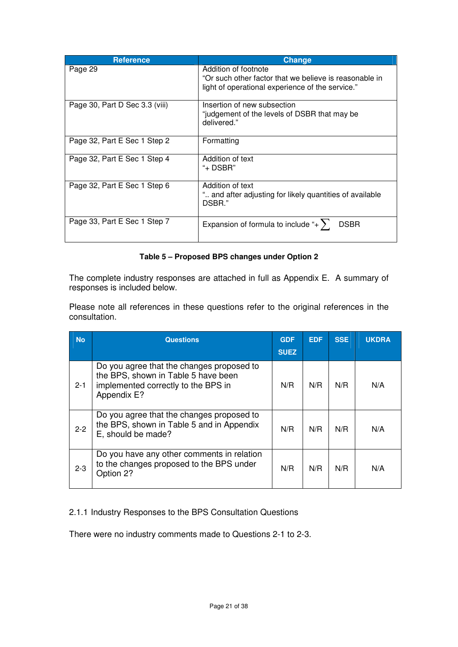| <b>Reference</b>               | Change                                                                                                                             |
|--------------------------------|------------------------------------------------------------------------------------------------------------------------------------|
| Page 29                        | Addition of footnote<br>"Or such other factor that we believe is reasonable in<br>light of operational experience of the service." |
| Page 30, Part D Sec 3.3 (viii) | Insertion of new subsection<br>"judgement of the levels of DSBR that may be<br>delivered."                                         |
| Page 32, Part E Sec 1 Step 2   | Formatting                                                                                                                         |
| Page 32, Part E Sec 1 Step 4   | Addition of text<br>"+ DSBR"                                                                                                       |
| Page 32, Part E Sec 1 Step 6   | Addition of text<br>" and after adjusting for likely quantities of available<br>DSBR."                                             |
| Page 33, Part E Sec 1 Step 7   | Expansion of formula to include "+ $\sum$<br><b>DSBR</b>                                                                           |

## **Table 5 – Proposed BPS changes under Option 2**

The complete industry responses are attached in full as Appendix E. A summary of responses is included below.

Please note all references in these questions refer to the original references in the consultation.

| <b>No</b> | <b>Questions</b>                                                                                                                       | <b>GDF</b>  | <b>EDF</b> | <b>SSE</b> | <b>UKDRA</b> |
|-----------|----------------------------------------------------------------------------------------------------------------------------------------|-------------|------------|------------|--------------|
|           |                                                                                                                                        | <b>SUEZ</b> |            |            |              |
| $2 - 1$   | Do you agree that the changes proposed to<br>the BPS, shown in Table 5 have been<br>implemented correctly to the BPS in<br>Appendix E? | N/R         | N/R        | N/R        | N/A          |
| $2 - 2$   | Do you agree that the changes proposed to<br>the BPS, shown in Table 5 and in Appendix<br>E, should be made?                           | N/R         | N/R        | N/R        | N/A          |
| $2 - 3$   | Do you have any other comments in relation<br>to the changes proposed to the BPS under<br>Option 2?                                    | N/R         | N/R        | N/R        | N/A          |

2.1.1 Industry Responses to the BPS Consultation Questions

There were no industry comments made to Questions 2-1 to 2-3.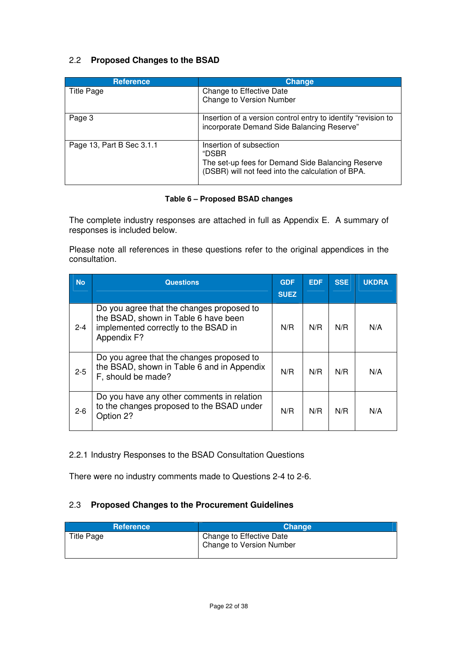## 2.2 **Proposed Changes to the BSAD**

| <b>Reference</b>          | Change                                                                                                                                     |
|---------------------------|--------------------------------------------------------------------------------------------------------------------------------------------|
| Title Page                | Change to Effective Date<br>Change to Version Number                                                                                       |
| Page 3                    | Insertion of a version control entry to identify "revision to<br>incorporate Demand Side Balancing Reserve"                                |
| Page 13, Part B Sec 3.1.1 | Insertion of subsection<br>"DSBR<br>The set-up fees for Demand Side Balancing Reserve<br>(DSBR) will not feed into the calculation of BPA. |

#### **Table 6 – Proposed BSAD changes**

The complete industry responses are attached in full as Appendix E. A summary of responses is included below.

Please note all references in these questions refer to the original appendices in the consultation.

| <b>No</b> | <b>Questions</b>                                                                                                                                | <b>GDF</b><br><b>SUEZ</b> | <b>EDF</b> | <b>SSE</b> | <b>UKDRA</b> |
|-----------|-------------------------------------------------------------------------------------------------------------------------------------------------|---------------------------|------------|------------|--------------|
| $2 - 4$   | Do you agree that the changes proposed to<br>the BSAD, shown in Table 6 have been<br>implemented correctly to the BSAD in<br><b>Appendix F?</b> | N/R                       | N/R        | N/R        | N/A          |
| $2 - 5$   | Do you agree that the changes proposed to<br>the BSAD, shown in Table 6 and in Appendix<br>F, should be made?                                   | N/R                       | N/R        | N/R        | N/A          |
| $2 - 6$   | Do you have any other comments in relation<br>to the changes proposed to the BSAD under<br>Option 2?                                            | N/R                       | N/R        | N/R        | N/A          |

#### 2.2.1 Industry Responses to the BSAD Consultation Questions

There were no industry comments made to Questions 2-4 to 2-6.

#### 2.3 **Proposed Changes to the Procurement Guidelines**

| <b>Reference</b> | Change <sup>1</sup>                                  |
|------------------|------------------------------------------------------|
| Title Page       | Change to Effective Date<br>Change to Version Number |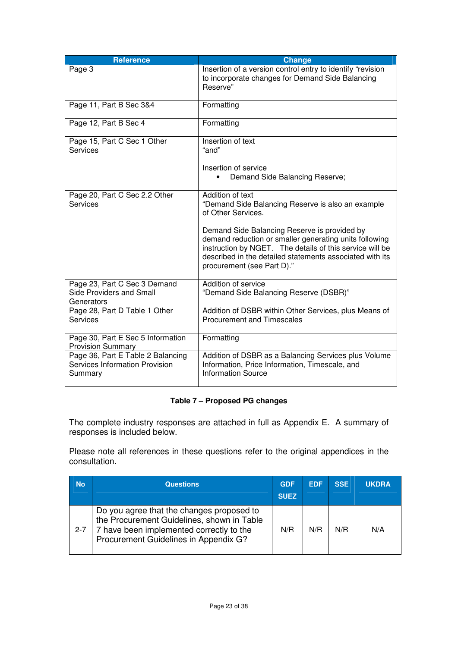| <b>Reference</b>                                                               | <b>Change</b>                                                                                                                                                                                                                                                |
|--------------------------------------------------------------------------------|--------------------------------------------------------------------------------------------------------------------------------------------------------------------------------------------------------------------------------------------------------------|
| Page 3                                                                         | Insertion of a version control entry to identify "revision<br>to incorporate changes for Demand Side Balancing<br>Reserve"                                                                                                                                   |
| Page 11, Part B Sec 3&4                                                        | Formatting                                                                                                                                                                                                                                                   |
| Page 12, Part B Sec 4                                                          | Formatting                                                                                                                                                                                                                                                   |
| Page 15, Part C Sec 1 Other<br><b>Services</b>                                 | Insertion of text<br>"and"<br>Insertion of service                                                                                                                                                                                                           |
|                                                                                | Demand Side Balancing Reserve;<br>$\bullet$                                                                                                                                                                                                                  |
| Page 20, Part C Sec 2.2 Other<br>Services                                      | Addition of text<br>"Demand Side Balancing Reserve is also an example<br>of Other Services.                                                                                                                                                                  |
|                                                                                | Demand Side Balancing Reserve is provided by<br>demand reduction or smaller generating units following<br>instruction by NGET. The details of this service will be<br>described in the detailed statements associated with its<br>procurement (see Part D)." |
| Page 23, Part C Sec 3 Demand<br>Side Providers and Small<br>Generators         | Addition of service<br>"Demand Side Balancing Reserve (DSBR)"                                                                                                                                                                                                |
| Page 28, Part D Table 1 Other<br><b>Services</b>                               | Addition of DSBR within Other Services, plus Means of<br><b>Procurement and Timescales</b>                                                                                                                                                                   |
| Page 30, Part E Sec 5 Information<br><b>Provision Summary</b>                  | Formatting                                                                                                                                                                                                                                                   |
| Page 36, Part E Table 2 Balancing<br>Services Information Provision<br>Summary | Addition of DSBR as a Balancing Services plus Volume<br>Information, Price Information, Timescale, and<br><b>Information Source</b>                                                                                                                          |

## **Table 7 – Proposed PG changes**

The complete industry responses are attached in full as Appendix E. A summary of responses is included below.

Please note all references in these questions refer to the original appendices in the consultation.

| <b>No</b> | <b>Questions</b>                                                                                                                                                             | <b>GDF</b><br><b>SUEZ</b> | <b>EDF</b> | <b>SSE</b> | <b>UKDRA</b> |
|-----------|------------------------------------------------------------------------------------------------------------------------------------------------------------------------------|---------------------------|------------|------------|--------------|
| $2 - 7$   | Do you agree that the changes proposed to<br>the Procurement Guidelines, shown in Table<br>7 have been implemented correctly to the<br>Procurement Guidelines in Appendix G? | N/R                       | N/R        | N/R        | N/A          |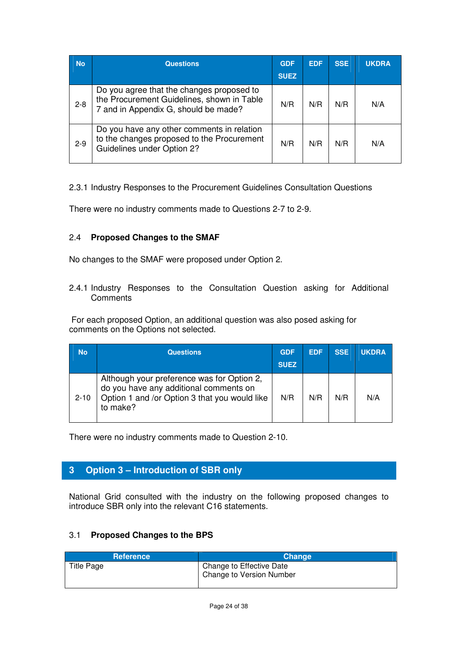| <b>No</b> | <b>Questions</b>                                                                                                                | <b>GDF</b><br><b>SUEZ</b> | <b>EDF</b> | <b>SSE</b> | <b>UKDRA</b> |
|-----------|---------------------------------------------------------------------------------------------------------------------------------|---------------------------|------------|------------|--------------|
| $2 - 8$   | Do you agree that the changes proposed to<br>the Procurement Guidelines, shown in Table<br>7 and in Appendix G, should be made? | N/R                       | N/R        | N/R        | N/A          |
| $2 - 9$   | Do you have any other comments in relation<br>to the changes proposed to the Procurement<br>Guidelines under Option 2?          | N/R                       | N/R        | N/R        | N/A          |

## 2.3.1 Industry Responses to the Procurement Guidelines Consultation Questions

There were no industry comments made to Questions 2-7 to 2-9.

## 2.4 **Proposed Changes to the SMAF**

No changes to the SMAF were proposed under Option 2.

2.4.1 Industry Responses to the Consultation Question asking for Additional **Comments** 

 For each proposed Option, an additional question was also posed asking for comments on the Options not selected.

| <b>No</b> | <b>Questions</b>                                                                                                                                  | <b>GDF</b><br><b>SUEZ</b> | <b>EDF</b> | <b>SSE</b> | <b>UKDRA</b> |
|-----------|---------------------------------------------------------------------------------------------------------------------------------------------------|---------------------------|------------|------------|--------------|
| $2 - 10$  | Although your preference was for Option 2,<br>do you have any additional comments on<br>Option 1 and /or Option 3 that you would like<br>to make? | N/R                       | N/R        | N/R        | N/A          |

There were no industry comments made to Question 2-10.

## **3 Option 3 – Introduction of SBR only**

National Grid consulted with the industry on the following proposed changes to introduce SBR only into the relevant C16 statements.

## 3.1 **Proposed Changes to the BPS**

| <b>Reference</b>  | <b>Change</b>                                        |
|-------------------|------------------------------------------------------|
| <b>Title Page</b> | Change to Effective Date<br>Change to Version Number |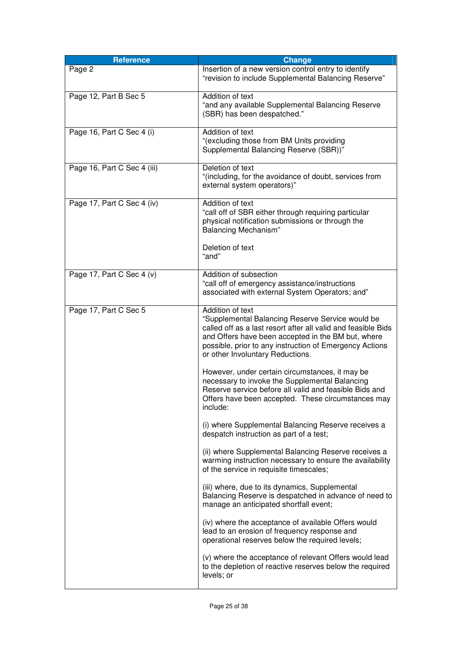| <b>Reference</b>            | <b>Change</b>                                                                                                                                                                                                                                                                              |
|-----------------------------|--------------------------------------------------------------------------------------------------------------------------------------------------------------------------------------------------------------------------------------------------------------------------------------------|
| Page 2                      | Insertion of a new version control entry to identify<br>"revision to include Supplemental Balancing Reserve"                                                                                                                                                                               |
| Page 12, Part B Sec 5       | Addition of text<br>"and any available Supplemental Balancing Reserve<br>(SBR) has been despatched."                                                                                                                                                                                       |
| Page 16, Part C Sec 4 (i)   | Addition of text<br>"(excluding those from BM Units providing<br>Supplemental Balancing Reserve (SBR))"                                                                                                                                                                                    |
| Page 16, Part C Sec 4 (iii) | Deletion of text<br>"(including, for the avoidance of doubt, services from<br>external system operators)"                                                                                                                                                                                  |
| Page 17, Part C Sec 4 (iv)  | Addition of text<br>"call off of SBR either through requiring particular<br>physical notification submissions or through the<br><b>Balancing Mechanism"</b><br>Deletion of text<br>"and"                                                                                                   |
|                             |                                                                                                                                                                                                                                                                                            |
| Page 17, Part C Sec 4 (v)   | Addition of subsection<br>"call off of emergency assistance/instructions<br>associated with external System Operators; and"                                                                                                                                                                |
| Page 17, Part C Sec 5       | Addition of text<br>"Supplemental Balancing Reserve Service would be<br>called off as a last resort after all valid and feasible Bids<br>and Offers have been accepted in the BM but, where<br>possible, prior to any instruction of Emergency Actions<br>or other Involuntary Reductions. |
|                             | However, under certain circumstances, it may be<br>necessary to invoke the Supplemental Balancing<br>Reserve service before all valid and feasible Bids and<br>Offers have been accepted. These circumstances may<br>include:                                                              |
|                             | (i) where Supplemental Balancing Reserve receives a<br>despatch instruction as part of a test;                                                                                                                                                                                             |
|                             | (ii) where Supplemental Balancing Reserve receives a<br>warming instruction necessary to ensure the availability<br>of the service in requisite timescales;                                                                                                                                |
|                             | (iii) where, due to its dynamics, Supplemental<br>Balancing Reserve is despatched in advance of need to<br>manage an anticipated shortfall event;                                                                                                                                          |
|                             | (iv) where the acceptance of available Offers would<br>lead to an erosion of frequency response and<br>operational reserves below the required levels;                                                                                                                                     |
|                             | (v) where the acceptance of relevant Offers would lead<br>to the depletion of reactive reserves below the required<br>levels; or                                                                                                                                                           |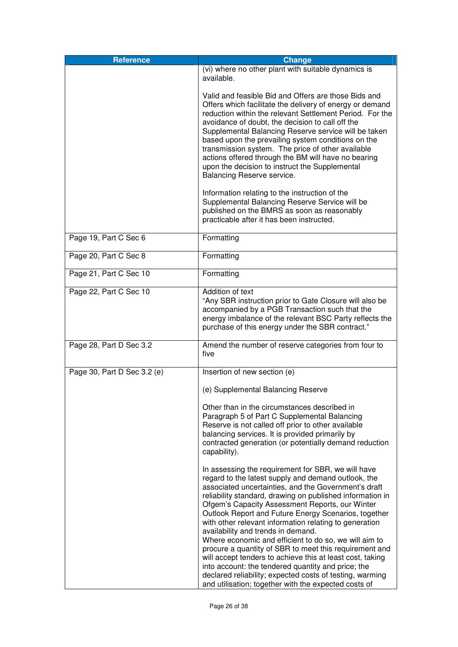| <b>Reference</b>            | <b>Change</b>                                                                                                                                                                                                                                                                                                                                                                                                                                                                                                                                                                                                                                                                                                                                                                                       |
|-----------------------------|-----------------------------------------------------------------------------------------------------------------------------------------------------------------------------------------------------------------------------------------------------------------------------------------------------------------------------------------------------------------------------------------------------------------------------------------------------------------------------------------------------------------------------------------------------------------------------------------------------------------------------------------------------------------------------------------------------------------------------------------------------------------------------------------------------|
|                             | (vi) where no other plant with suitable dynamics is<br>available.                                                                                                                                                                                                                                                                                                                                                                                                                                                                                                                                                                                                                                                                                                                                   |
|                             | Valid and feasible Bid and Offers are those Bids and<br>Offers which facilitate the delivery of energy or demand<br>reduction within the relevant Settlement Period. For the<br>avoidance of doubt, the decision to call off the<br>Supplemental Balancing Reserve service will be taken<br>based upon the prevailing system conditions on the<br>transmission system. The price of other available<br>actions offered through the BM will have no bearing<br>upon the decision to instruct the Supplemental<br>Balancing Reserve service.                                                                                                                                                                                                                                                          |
|                             | Information relating to the instruction of the<br>Supplemental Balancing Reserve Service will be<br>published on the BMRS as soon as reasonably<br>practicable after it has been instructed.                                                                                                                                                                                                                                                                                                                                                                                                                                                                                                                                                                                                        |
| Page 19, Part C Sec 6       | Formatting                                                                                                                                                                                                                                                                                                                                                                                                                                                                                                                                                                                                                                                                                                                                                                                          |
| Page 20, Part C Sec 8       | Formatting                                                                                                                                                                                                                                                                                                                                                                                                                                                                                                                                                                                                                                                                                                                                                                                          |
| Page 21, Part C Sec 10      | Formatting                                                                                                                                                                                                                                                                                                                                                                                                                                                                                                                                                                                                                                                                                                                                                                                          |
| Page 22, Part C Sec 10      | Addition of text<br>"Any SBR instruction prior to Gate Closure will also be<br>accompanied by a PGB Transaction such that the<br>energy imbalance of the relevant BSC Party reflects the<br>purchase of this energy under the SBR contract."                                                                                                                                                                                                                                                                                                                                                                                                                                                                                                                                                        |
| Page 28, Part D Sec 3.2     | Amend the number of reserve categories from four to<br>five                                                                                                                                                                                                                                                                                                                                                                                                                                                                                                                                                                                                                                                                                                                                         |
| Page 30, Part D Sec 3.2 (e) | Insertion of new section (e)                                                                                                                                                                                                                                                                                                                                                                                                                                                                                                                                                                                                                                                                                                                                                                        |
|                             | (e) Supplemental Balancing Reserve                                                                                                                                                                                                                                                                                                                                                                                                                                                                                                                                                                                                                                                                                                                                                                  |
|                             | Other than in the circumstances described in<br>Paragraph 5 of Part C Supplemental Balancing<br>Reserve is not called off prior to other available<br>balancing services. It is provided primarily by<br>contracted generation (or potentially demand reduction<br>capability).                                                                                                                                                                                                                                                                                                                                                                                                                                                                                                                     |
|                             | In assessing the requirement for SBR, we will have<br>regard to the latest supply and demand outlook, the<br>associated uncertainties, and the Government's draft<br>reliability standard, drawing on published information in<br>Ofgem's Capacity Assessment Reports, our Winter<br>Outlook Report and Future Energy Scenarios, together<br>with other relevant information relating to generation<br>availability and trends in demand.<br>Where economic and efficient to do so, we will aim to<br>procure a quantity of SBR to meet this requirement and<br>will accept tenders to achieve this at least cost, taking<br>into account: the tendered quantity and price; the<br>declared reliability; expected costs of testing, warming<br>and utilisation; together with the expected costs of |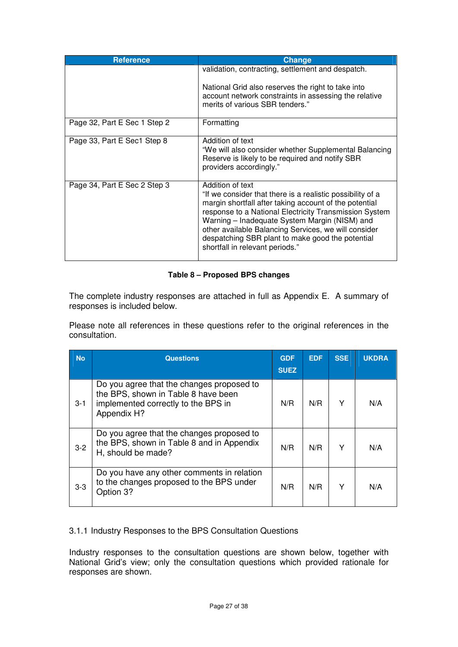| <b>Reference</b>             | Change                                                                                                                                                                                                                                                                                                                                                                                             |
|------------------------------|----------------------------------------------------------------------------------------------------------------------------------------------------------------------------------------------------------------------------------------------------------------------------------------------------------------------------------------------------------------------------------------------------|
|                              | validation, contracting, settlement and despatch.<br>National Grid also reserves the right to take into<br>account network constraints in assessing the relative<br>merits of various SBR tenders."                                                                                                                                                                                                |
|                              |                                                                                                                                                                                                                                                                                                                                                                                                    |
| Page 32, Part E Sec 1 Step 2 | Formatting                                                                                                                                                                                                                                                                                                                                                                                         |
| Page 33, Part E Sec1 Step 8  | Addition of text<br>"We will also consider whether Supplemental Balancing<br>Reserve is likely to be required and notify SBR<br>providers accordingly."                                                                                                                                                                                                                                            |
| Page 34, Part E Sec 2 Step 3 | Addition of text<br>"If we consider that there is a realistic possibility of a<br>margin shortfall after taking account of the potential<br>response to a National Electricity Transmission System<br>Warning - Inadequate System Margin (NISM) and<br>other available Balancing Services, we will consider<br>despatching SBR plant to make good the potential<br>shortfall in relevant periods." |

#### **Table 8 – Proposed BPS changes**

The complete industry responses are attached in full as Appendix E. A summary of responses is included below.

Please note all references in these questions refer to the original references in the consultation.

| <b>No</b> | <b>Questions</b>                                                                                                                       | <b>GDF</b><br><b>SUEZ</b> | <b>EDF</b> | <b>SSE</b> | <b>UKDRA</b> |
|-----------|----------------------------------------------------------------------------------------------------------------------------------------|---------------------------|------------|------------|--------------|
| $3 - 1$   | Do you agree that the changes proposed to<br>the BPS, shown in Table 8 have been<br>implemented correctly to the BPS in<br>Appendix H? | N/R                       | N/R        | Υ          | N/A          |
| $3 - 2$   | Do you agree that the changes proposed to<br>the BPS, shown in Table 8 and in Appendix<br>H, should be made?                           | N/R                       | N/R        | Υ          | N/A          |
| $3 - 3$   | Do you have any other comments in relation<br>to the changes proposed to the BPS under<br>Option 3?                                    | N/R                       | N/R        | Υ          | N/A          |

3.1.1 Industry Responses to the BPS Consultation Questions

Industry responses to the consultation questions are shown below, together with National Grid's view; only the consultation questions which provided rationale for responses are shown.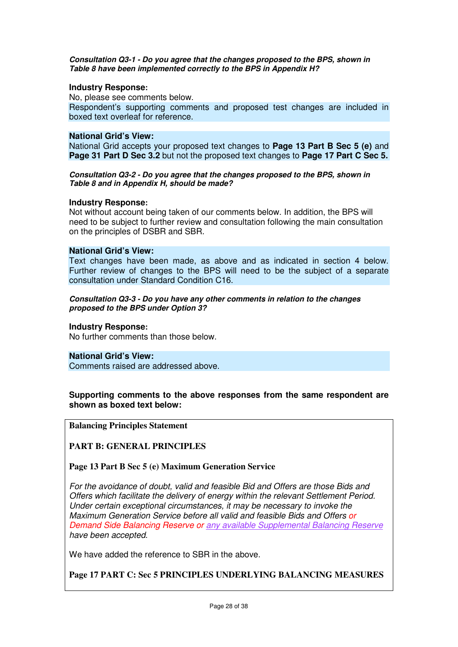**Consultation Q3-1 - Do you agree that the changes proposed to the BPS, shown in Table 8 have been implemented correctly to the BPS in Appendix H?** 

#### **Industry Response:**

No, please see comments below. Respondent's supporting comments and proposed test changes are included in boxed text overleaf for reference.

#### **National Grid's View:**

National Grid accepts your proposed text changes to **Page 13 Part B Sec 5 (e)** and **Page 31 Part D Sec 3.2** but not the proposed text changes to **Page 17 Part C Sec 5.**

#### **Consultation Q3-2 - Do you agree that the changes proposed to the BPS, shown in Table 8 and in Appendix H, should be made?**

#### **Industry Response:**

Not without account being taken of our comments below. In addition, the BPS will need to be subject to further review and consultation following the main consultation on the principles of DSBR and SBR.

#### **National Grid's View:**

Text changes have been made, as above and as indicated in section 4 below. Further review of changes to the BPS will need to be the subject of a separate consultation under Standard Condition C16.

#### **Consultation Q3-3 - Do you have any other comments in relation to the changes proposed to the BPS under Option 3?**

#### **Industry Response:**

No further comments than those below.

#### **National Grid's View:**

Comments raised are addressed above.

**Supporting comments to the above responses from the same respondent are shown as boxed text below:** 

**Balancing Principles Statement** 

#### **PART B: GENERAL PRINCIPLES**

#### **Page 13 Part B Sec 5 (e) Maximum Generation Service**

For the avoidance of doubt, valid and feasible Bid and Offers are those Bids and Offers which facilitate the delivery of energy within the relevant Settlement Period. Under certain exceptional circumstances, it may be necessary to invoke the Maximum Generation Service before all valid and feasible Bids and Offers or Demand Side Balancing Reserve or any available Supplemental Balancing Reserve have been accepted.

We have added the reference to SBR in the above.

#### **Page 17 PART C: Sec 5 PRINCIPLES UNDERLYING BALANCING MEASURES**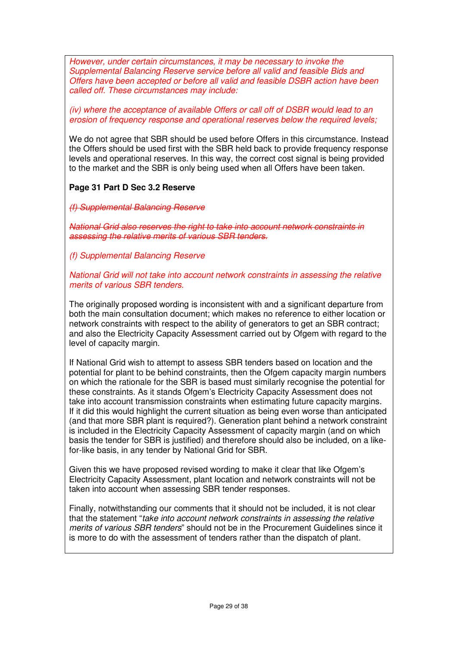However, under certain circumstances, it may be necessary to invoke the Supplemental Balancing Reserve service before all valid and feasible Bids and Offers have been accepted or before all valid and feasible DSBR action have been called off. These circumstances may include:

#### (iv) where the acceptance of available Offers or call off of DSBR would lead to an erosion of frequency response and operational reserves below the required levels;

We do not agree that SBR should be used before Offers in this circumstance. Instead the Offers should be used first with the SBR held back to provide frequency response levels and operational reserves. In this way, the correct cost signal is being provided to the market and the SBR is only being used when all Offers have been taken.

#### **Page 31 Part D Sec 3.2 Reserve**

#### (f) Supplemental Balancing Reserve

National Grid also reserves the right to take into account network constraints in assessing the relative merits of various SBR tenders.

(f) Supplemental Balancing Reserve

#### National Grid will not take into account network constraints in assessing the relative merits of various SBR tenders.

The originally proposed wording is inconsistent with and a significant departure from both the main consultation document; which makes no reference to either location or network constraints with respect to the ability of generators to get an SBR contract; and also the Electricity Capacity Assessment carried out by Ofgem with regard to the level of capacity margin.

If National Grid wish to attempt to assess SBR tenders based on location and the potential for plant to be behind constraints, then the Ofgem capacity margin numbers on which the rationale for the SBR is based must similarly recognise the potential for these constraints. As it stands Ofgem's Electricity Capacity Assessment does not take into account transmission constraints when estimating future capacity margins. If it did this would highlight the current situation as being even worse than anticipated (and that more SBR plant is required?). Generation plant behind a network constraint is included in the Electricity Capacity Assessment of capacity margin (and on which basis the tender for SBR is justified) and therefore should also be included, on a likefor-like basis, in any tender by National Grid for SBR.

Given this we have proposed revised wording to make it clear that like Ofgem's Electricity Capacity Assessment, plant location and network constraints will not be taken into account when assessing SBR tender responses.

Finally, notwithstanding our comments that it should not be included, it is not clear that the statement "take into account network constraints in assessing the relative merits of various SBR tenders" should not be in the Procurement Guidelines since it is more to do with the assessment of tenders rather than the dispatch of plant.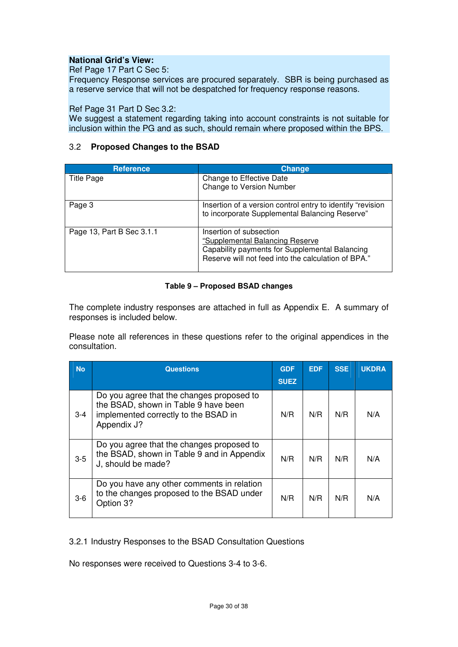## **National Grid's View:**

Ref Page 17 Part C Sec 5:

Frequency Response services are procured separately. SBR is being purchased as a reserve service that will not be despatched for frequency response reasons.

#### Ref Page 31 Part D Sec 3.2:

We suggest a statement regarding taking into account constraints is not suitable for inclusion within the PG and as such, should remain where proposed within the BPS.

#### 3.2 **Proposed Changes to the BSAD**

| <b>Reference</b>          | Change                                                                                                       |
|---------------------------|--------------------------------------------------------------------------------------------------------------|
| <b>Title Page</b>         | Change to Effective Date                                                                                     |
|                           | Change to Version Number                                                                                     |
| Page 3                    | Insertion of a version control entry to identify "revision<br>to incorporate Supplemental Balancing Reserve" |
| Page 13, Part B Sec 3.1.1 | Insertion of subsection                                                                                      |
|                           | "Supplemental Balancing Reserve                                                                              |
|                           | Capability payments for Supplemental Balancing                                                               |
|                           | Reserve will not feed into the calculation of BPA."                                                          |

#### **Table 9 – Proposed BSAD changes**

The complete industry responses are attached in full as Appendix E. A summary of responses is included below.

Please note all references in these questions refer to the original appendices in the consultation.

| <b>No</b> | <b>Questions</b>                                                                                                                         | <b>GDF</b><br><b>SUEZ</b> | <b>EDF</b> | <b>SSE</b> | <b>UKDRA</b> |
|-----------|------------------------------------------------------------------------------------------------------------------------------------------|---------------------------|------------|------------|--------------|
| $3 - 4$   | Do you agree that the changes proposed to<br>the BSAD, shown in Table 9 have been<br>implemented correctly to the BSAD in<br>Appendix J? | N/R                       | N/R        | N/R        | N/A          |
| $3-5$     | Do you agree that the changes proposed to<br>the BSAD, shown in Table 9 and in Appendix<br>J, should be made?                            | N/R                       | N/R        | N/R        | N/A          |
| $3-6$     | Do you have any other comments in relation<br>to the changes proposed to the BSAD under<br>Option 3?                                     | N/R                       | N/R        | N/R        | N/A          |

3.2.1 Industry Responses to the BSAD Consultation Questions

No responses were received to Questions 3-4 to 3-6.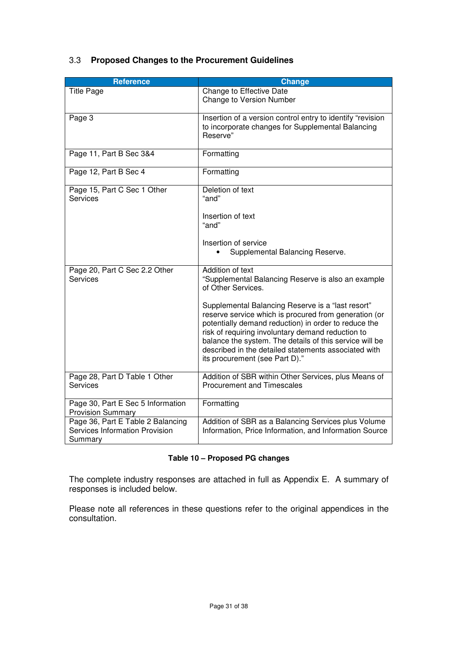|  | 3.3 Proposed Changes to the Procurement Guidelines |
|--|----------------------------------------------------|
|--|----------------------------------------------------|

| <b>Reference</b>                                                               | <b>Change</b>                                                                                                                                                                                                                                                                                                                                                                |
|--------------------------------------------------------------------------------|------------------------------------------------------------------------------------------------------------------------------------------------------------------------------------------------------------------------------------------------------------------------------------------------------------------------------------------------------------------------------|
| <b>Title Page</b>                                                              | Change to Effective Date<br>Change to Version Number                                                                                                                                                                                                                                                                                                                         |
| Page 3                                                                         | Insertion of a version control entry to identify "revision<br>to incorporate changes for Supplemental Balancing<br>Reserve"                                                                                                                                                                                                                                                  |
| Page 11, Part B Sec 3&4                                                        | Formatting                                                                                                                                                                                                                                                                                                                                                                   |
| Page 12, Part B Sec 4                                                          | Formatting                                                                                                                                                                                                                                                                                                                                                                   |
| Page 15, Part C Sec 1 Other<br><b>Services</b>                                 | Deletion of text<br>"and"                                                                                                                                                                                                                                                                                                                                                    |
|                                                                                | Insertion of text<br>"and"                                                                                                                                                                                                                                                                                                                                                   |
|                                                                                | Insertion of service<br>Supplemental Balancing Reserve.                                                                                                                                                                                                                                                                                                                      |
| Page 20, Part C Sec 2.2 Other<br>Services                                      | Addition of text<br>"Supplemental Balancing Reserve is also an example<br>of Other Services.                                                                                                                                                                                                                                                                                 |
|                                                                                | Supplemental Balancing Reserve is a "last resort"<br>reserve service which is procured from generation (or<br>potentially demand reduction) in order to reduce the<br>risk of requiring involuntary demand reduction to<br>balance the system. The details of this service will be<br>described in the detailed statements associated with<br>its procurement (see Part D)." |
| Page 28, Part D Table 1 Other<br><b>Services</b>                               | Addition of SBR within Other Services, plus Means of<br><b>Procurement and Timescales</b>                                                                                                                                                                                                                                                                                    |
| Page 30, Part E Sec 5 Information<br><b>Provision Summary</b>                  | Formatting                                                                                                                                                                                                                                                                                                                                                                   |
| Page 36, Part E Table 2 Balancing<br>Services Information Provision<br>Summary | Addition of SBR as a Balancing Services plus Volume<br>Information, Price Information, and Information Source                                                                                                                                                                                                                                                                |

## **Table 10 – Proposed PG changes**

The complete industry responses are attached in full as Appendix E. A summary of responses is included below.

Please note all references in these questions refer to the original appendices in the consultation.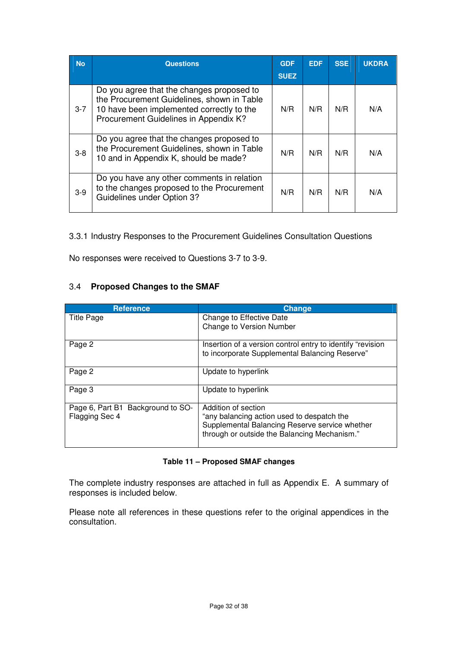| <b>No</b> | <b>Questions</b>                                                                                                                                                              | <b>GDF</b><br><b>SUEZ</b> | <b>EDF</b> | <b>SSE</b> | <b>UKDRA</b> |
|-----------|-------------------------------------------------------------------------------------------------------------------------------------------------------------------------------|---------------------------|------------|------------|--------------|
| $3 - 7$   | Do you agree that the changes proposed to<br>the Procurement Guidelines, shown in Table<br>10 have been implemented correctly to the<br>Procurement Guidelines in Appendix K? | N/R                       | N/R        | N/R        | N/A          |
| $3 - 8$   | Do you agree that the changes proposed to<br>the Procurement Guidelines, shown in Table<br>10 and in Appendix K, should be made?                                              | N/R                       | N/R        | N/R        | N/A          |
| $3-9$     | Do you have any other comments in relation<br>to the changes proposed to the Procurement<br>Guidelines under Option 3?                                                        | N/R                       | N/R        | N/R        | N/A          |

3.3.1 Industry Responses to the Procurement Guidelines Consultation Questions

No responses were received to Questions 3-7 to 3-9.

#### 3.4 **Proposed Changes to the SMAF**

| <b>Reference</b>                                    | <b>Change</b>                                                                                                                                                       |
|-----------------------------------------------------|---------------------------------------------------------------------------------------------------------------------------------------------------------------------|
| <b>Title Page</b>                                   | Change to Effective Date                                                                                                                                            |
|                                                     | Change to Version Number                                                                                                                                            |
| Page 2                                              | Insertion of a version control entry to identify "revision<br>to incorporate Supplemental Balancing Reserve"                                                        |
| Page 2                                              | Update to hyperlink                                                                                                                                                 |
| Page 3                                              | Update to hyperlink                                                                                                                                                 |
| Page 6, Part B1 Background to SO-<br>Flagging Sec 4 | Addition of section<br>"any balancing action used to despatch the<br>Supplemental Balancing Reserve service whether<br>through or outside the Balancing Mechanism." |

#### **Table 11 – Proposed SMAF changes**

The complete industry responses are attached in full as Appendix E. A summary of responses is included below.

Please note all references in these questions refer to the original appendices in the consultation.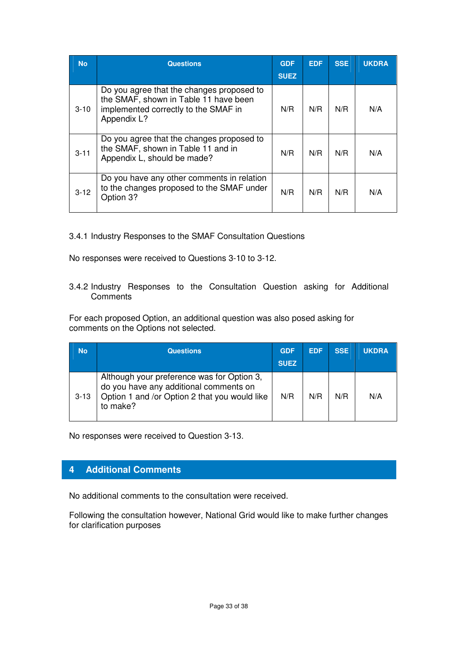| <b>No</b> | <b>Questions</b>                                                                                                                          | <b>GDF</b><br><b>SUEZ</b> | <b>EDF</b> | <b>SSE</b> | <b>UKDRA</b> |
|-----------|-------------------------------------------------------------------------------------------------------------------------------------------|---------------------------|------------|------------|--------------|
| $3 - 10$  | Do you agree that the changes proposed to<br>the SMAF, shown in Table 11 have been<br>implemented correctly to the SMAF in<br>Appendix L? | N/R                       | N/R        | N/R        | N/A          |
| $3 - 11$  | Do you agree that the changes proposed to<br>the SMAF, shown in Table 11 and in<br>Appendix L, should be made?                            | N/R                       | N/R        | N/R        | N/A          |
| $3 - 12$  | Do you have any other comments in relation<br>to the changes proposed to the SMAF under<br>Option 3?                                      | N/R                       | N/R        | N/R        | N/A          |

3.4.1 Industry Responses to the SMAF Consultation Questions

No responses were received to Questions 3-10 to 3-12.

3.4.2 Industry Responses to the Consultation Question asking for Additional **Comments** 

For each proposed Option, an additional question was also posed asking for comments on the Options not selected.

| <b>No</b> | <b>Questions</b>                                                                                                                                  | <b>GDF</b><br><b>SUEZ</b> | <b>EDF</b> | <b>SSE</b> | <b>UKDRA</b> |
|-----------|---------------------------------------------------------------------------------------------------------------------------------------------------|---------------------------|------------|------------|--------------|
| $3 - 13$  | Although your preference was for Option 3,<br>do you have any additional comments on<br>Option 1 and /or Option 2 that you would like<br>to make? | N/R                       | N/R        | N/R        | N/A          |

No responses were received to Question 3-13.

## **4 Additional Comments**

No additional comments to the consultation were received.

Following the consultation however, National Grid would like to make further changes for clarification purposes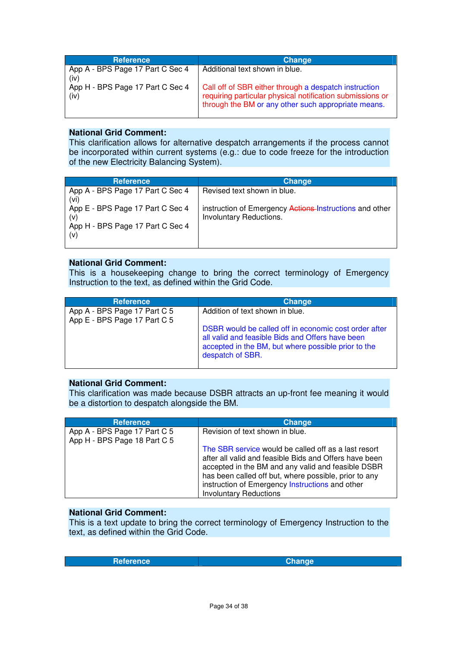| <b>Reference</b>                                 | Change                                                                                                                                                                    |
|--------------------------------------------------|---------------------------------------------------------------------------------------------------------------------------------------------------------------------------|
| App A - BPS Page 17 Part C Sec 4                 | Additional text shown in blue.                                                                                                                                            |
| (iv)<br>App H - BPS Page 17 Part C Sec 4<br>(iv) | Call off of SBR either through a despatch instruction<br>requiring particular physical notification submissions or<br>through the BM or any other such appropriate means. |
|                                                  |                                                                                                                                                                           |

#### **National Grid Comment:**

This clarification allows for alternative despatch arrangements if the process cannot be incorporated within current systems (e.g.: due to code freeze for the introduction of the new Electricity Balancing System).

| <b>Reference</b>                 | Change                                                  |
|----------------------------------|---------------------------------------------------------|
| App A - BPS Page 17 Part C Sec 4 | Revised text shown in blue.                             |
| (vi)                             |                                                         |
| App E - BPS Page 17 Part C Sec 4 | instruction of Emergency Actions Instructions and other |
| (v)                              | Involuntary Reductions.                                 |
| App H - BPS Page 17 Part C Sec 4 |                                                         |
| (v)                              |                                                         |
|                                  |                                                         |

#### **National Grid Comment:**

This is a housekeeping change to bring the correct terminology of Emergency Instruction to the text, as defined within the Grid Code.

| <b>Reference</b>                                             | <b>Change</b>                                                                                                                                                                        |
|--------------------------------------------------------------|--------------------------------------------------------------------------------------------------------------------------------------------------------------------------------------|
| App A - BPS Page 17 Part C 5<br>App E - BPS Page 17 Part C 5 | Addition of text shown in blue.                                                                                                                                                      |
|                                                              | DSBR would be called off in economic cost order after<br>all valid and feasible Bids and Offers have been<br>accepted in the BM, but where possible prior to the<br>despatch of SBR. |

#### **National Grid Comment:**

This clarification was made because DSBR attracts an up-front fee meaning it would be a distortion to despatch alongside the BM.

| <b>Reference</b>                                             | <b>Change</b>                                                                                                                                                                                                                                                                                                     |
|--------------------------------------------------------------|-------------------------------------------------------------------------------------------------------------------------------------------------------------------------------------------------------------------------------------------------------------------------------------------------------------------|
| App A - BPS Page 17 Part C 5<br>App H - BPS Page 18 Part C 5 | Revision of text shown in blue.                                                                                                                                                                                                                                                                                   |
|                                                              | The SBR service would be called off as a last resort<br>after all valid and feasible Bids and Offers have been<br>accepted in the BM and any valid and feasible DSBR<br>has been called off but, where possible, prior to any<br>instruction of Emergency Instructions and other<br><b>Involuntary Reductions</b> |

#### **National Grid Comment:**

This is a text update to bring the correct terminology of Emergency Instruction to the text, as defined within the Grid Code.

| <b>Reference</b> | Change |
|------------------|--------|
|                  |        |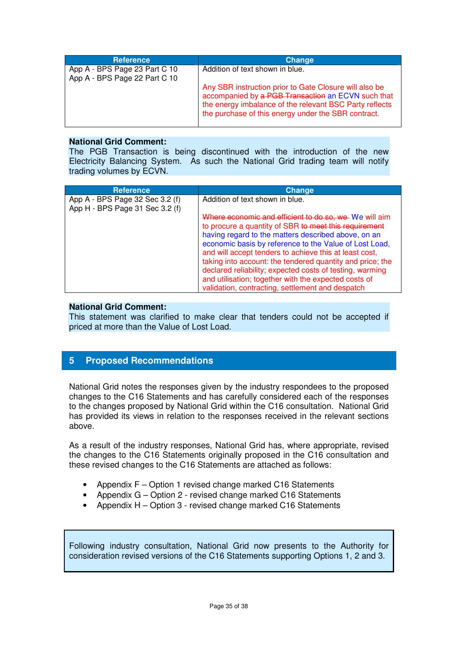| <b>Reference</b>                                               | Change                                                                                                                                                                                                                         |
|----------------------------------------------------------------|--------------------------------------------------------------------------------------------------------------------------------------------------------------------------------------------------------------------------------|
| App A - BPS Page 23 Part C 10<br>App A - BPS Page 22 Part C 10 | Addition of text shown in blue.                                                                                                                                                                                                |
|                                                                | Any SBR instruction prior to Gate Closure will also be<br>accompanied by a PGB Transaction an ECVN such that<br>the energy imbalance of the relevant BSC Party reflects<br>the purchase of this energy under the SBR contract. |

#### **National Grid Comment:**

The PGB Transaction is being discontinued with the introduction of the new Electricity Balancing System. As such the National Grid trading team will notify trading volumes by ECVN.

| <b>Reference</b>                                                   | <b>Change</b>                                                                                                                                                                                                                                                                                                                                                                                                                                                                                                                  |
|--------------------------------------------------------------------|--------------------------------------------------------------------------------------------------------------------------------------------------------------------------------------------------------------------------------------------------------------------------------------------------------------------------------------------------------------------------------------------------------------------------------------------------------------------------------------------------------------------------------|
| App A - BPS Page 32 Sec 3.2 (f)<br>App H - BPS Page 31 Sec 3.2 (f) | Addition of text shown in blue.                                                                                                                                                                                                                                                                                                                                                                                                                                                                                                |
|                                                                    | Where economic and efficient to do so, we We will aim<br>to procure a quantity of SBR to meet this requirement<br>having regard to the matters described above, on an<br>economic basis by reference to the Value of Lost Load,<br>and will accept tenders to achieve this at least cost,<br>taking into account: the tendered quantity and price; the<br>declared reliability; expected costs of testing, warming<br>and utilisation; together with the expected costs of<br>validation, contracting, settlement and despatch |

#### **National Grid Comment:**

This statement was clarified to make clear that tenders could not be accepted if priced at more than the Value of Lost Load.

## **5 Proposed Recommendations**

National Grid notes the responses given by the industry respondees to the proposed changes to the C16 Statements and has carefully considered each of the responses to the changes proposed by National Grid within the C16 consultation. National Grid has provided its views in relation to the responses received in the relevant sections above.

As a result of the industry responses, National Grid has, where appropriate, revised the changes to the C16 Statements originally proposed in the C16 consultation and these revised changes to the C16 Statements are attached as follows:

- Appendix F Option 1 revised change marked C16 Statements
- Appendix G Option 2 revised change marked C16 Statements
- Appendix H Option 3 revised change marked C16 Statements

Following industry consultation, National Grid now presents to the Authority for consideration revised versions of the C16 Statements supporting Options 1, 2 and 3.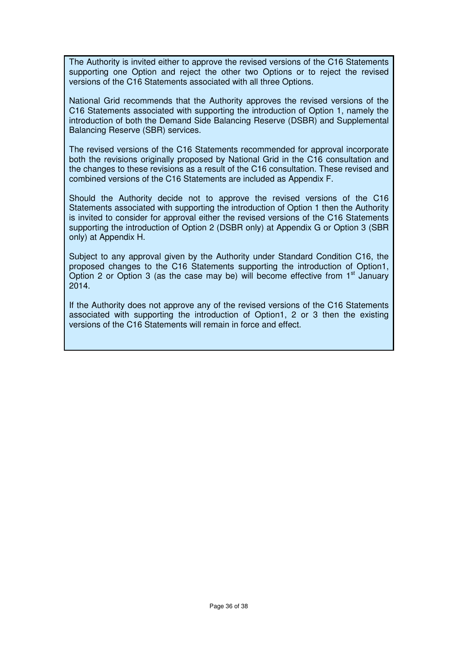The Authority is invited either to approve the revised versions of the C16 Statements supporting one Option and reject the other two Options or to reject the revised versions of the C16 Statements associated with all three Options.

National Grid recommends that the Authority approves the revised versions of the C16 Statements associated with supporting the introduction of Option 1, namely the introduction of both the Demand Side Balancing Reserve (DSBR) and Supplemental Balancing Reserve (SBR) services.

The revised versions of the C16 Statements recommended for approval incorporate both the revisions originally proposed by National Grid in the C16 consultation and the changes to these revisions as a result of the C16 consultation. These revised and combined versions of the C16 Statements are included as Appendix F.

Should the Authority decide not to approve the revised versions of the C16 Statements associated with supporting the introduction of Option 1 then the Authority is invited to consider for approval either the revised versions of the C16 Statements supporting the introduction of Option 2 (DSBR only) at Appendix G or Option 3 (SBR only) at Appendix H.

Subject to any approval given by the Authority under Standard Condition C16, the proposed changes to the C16 Statements supporting the introduction of Option1, Option 2 or Option 3 (as the case may be) will become effective from  $1<sup>st</sup>$  January 2014.

If the Authority does not approve any of the revised versions of the C16 Statements associated with supporting the introduction of Option1, 2 or 3 then the existing versions of the C16 Statements will remain in force and effect.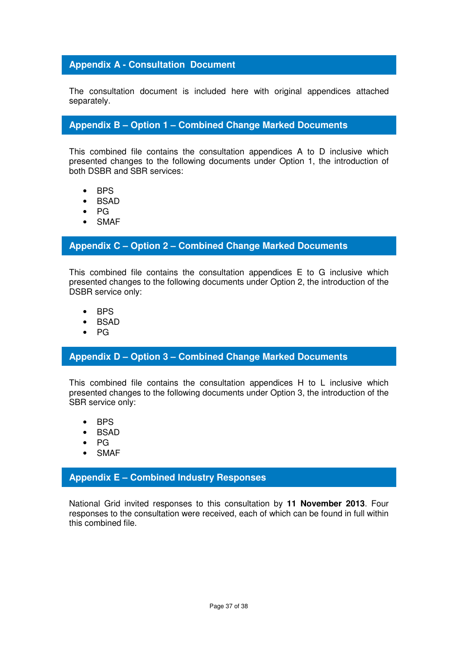#### **Appendix A - Consultation Document**

The consultation document is included here with original appendices attached separately.

#### **Appendix B – Option 1 – Combined Change Marked Documents**

This combined file contains the consultation appendices A to D inclusive which presented changes to the following documents under Option 1, the introduction of both DSBR and SBR services:

- BPS
- BSAD
- PG
- **SMAF**

#### **Appendix C – Option 2 – Combined Change Marked Documents**

This combined file contains the consultation appendices E to G inclusive which presented changes to the following documents under Option 2, the introduction of the DSBR service only:

- BPS
- BSAD
- PG

#### **Appendix D – Option 3 – Combined Change Marked Documents**

This combined file contains the consultation appendices H to L inclusive which presented changes to the following documents under Option 3, the introduction of the SBR service only:

- BPS
- BSAD
- PG
- **SMAF**

#### **Appendix E – Combined Industry Responses**

National Grid invited responses to this consultation by **11 November 2013**. Four responses to the consultation were received, each of which can be found in full within this combined file.